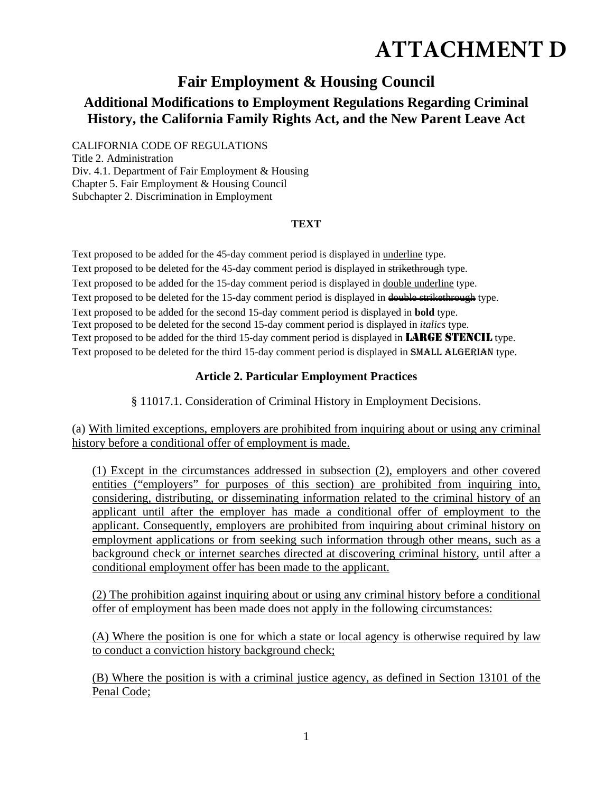# **ATTACHMENT D**

# **Fair Employment & Housing Council**

# **Additional Modifications to Employment Regulations Regarding Criminal History, the California Family Rights Act, and the New Parent Leave Act**

CALIFORNIA CODE OF REGULATIONS

Title 2. Administration Div. 4.1. Department of Fair Employment & Housing Chapter 5. Fair Employment & Housing Council Subchapter 2. Discrimination in Employment

# **TEXT**

Text proposed to be added for the 45-day comment period is displayed in underline type. Text proposed to be deleted for the 45-day comment period is displayed in strikethrough type. Text proposed to be added for the 15-day comment period is displayed in double underline type. Text proposed to be deleted for the 15-day comment period is displayed in double strikethrough type. Text proposed to be added for the second 15-day comment period is displayed in **bold** type. Text proposed to be deleted for the second 15-day comment period is displayed in *italics* type. Text proposed to be added for the third 15-day comment period is displayed in **LARGE STENCIL** type. Text proposed to be deleted for the third 15-day comment period is displayed in SMALL ALGERIAN type.

# **Article 2. Particular Employment Practices**

§ 11017.1. Consideration of Criminal History in Employment Decisions.

(a) With limited exceptions, employers are prohibited from inquiring about or using any criminal history before a conditional offer of employment is made.

(1) Except in the circumstances addressed in subsection (2), employers and other covered entities ("employers" for purposes of this section) are prohibited from inquiring into, considering, distributing, or disseminating information related to the criminal history of an applicant until after the employer has made a conditional offer of employment to the applicant. Consequently, employers are prohibited from inquiring about criminal history on employment applications or from seeking such information through other means, such as a background check or internet searches directed at discovering criminal history, until after a conditional employment offer has been made to the applicant.

(2) The prohibition against inquiring about or using any criminal history before a conditional offer of employment has been made does not apply in the following circumstances:

(A) Where the position is one for which a state or local agency is otherwise required by law to conduct a conviction history background check;

(B) Where the position is with a criminal justice agency, as defined in Section 13101 of the Penal Code;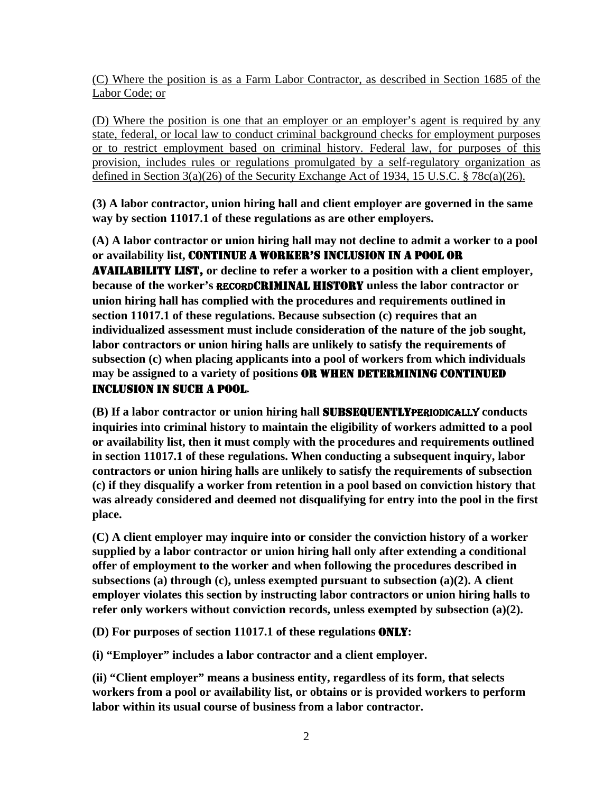(C) Where the position is as a Farm Labor Contractor, as described in Section 1685 of the Labor Code; or

(D) Where the position is one that an employer or an employer's agent is required by any state, federal, or local law to conduct criminal background checks for employment purposes or to restrict employment based on criminal history. Federal law, for purposes of this provision, includes rules or regulations promulgated by a self-regulatory organization as defined in Section 3(a)(26) of the Security Exchange Act of 1934, 15 U.S.C. § 78c(a)(26).

**(3) A labor contractor, union hiring hall and client employer are governed in the same way by section 11017.1 of these regulations as are other employers.** 

**(A) A labor contractor or union hiring hall may not decline to admit a worker to a pool or availability list,** CONTINUE A WORKER'S INCLUSION IN A POOL OR AVAILABILITY LIST, **or decline to refer a worker to a position with a client employer, because of the worker's** RECORDCRIMINAL HISTORY **unless the labor contractor or union hiring hall has complied with the procedures and requirements outlined in section 11017.1 of these regulations. Because subsection (c) requires that an individualized assessment must include consideration of the nature of the job sought, labor contractors or union hiring halls are unlikely to satisfy the requirements of subsection (c) when placing applicants into a pool of workers from which individuals may be assigned to a variety of positions** OR WHEN DETERMINING CONTINUED INCLUSION IN SUCH A POOL**.** 

**(B) If a labor contractor or union hiring hall** SUBSEQUENTLYPERIODICALLY **conducts inquiries into criminal history to maintain the eligibility of workers admitted to a pool or availability list, then it must comply with the procedures and requirements outlined in section 11017.1 of these regulations. When conducting a subsequent inquiry, labor contractors or union hiring halls are unlikely to satisfy the requirements of subsection (c) if they disqualify a worker from retention in a pool based on conviction history that was already considered and deemed not disqualifying for entry into the pool in the first place.** 

**(C) A client employer may inquire into or consider the conviction history of a worker supplied by a labor contractor or union hiring hall only after extending a conditional offer of employment to the worker and when following the procedures described in subsections (a) through (c), unless exempted pursuant to subsection (a)(2). A client employer violates this section by instructing labor contractors or union hiring halls to refer only workers without conviction records, unless exempted by subsection (a)(2).** 

**(D) For purposes of section 11017.1 of these regulations** ONLY**:** 

**(i) "Employer" includes a labor contractor and a client employer.** 

**(ii) "Client employer" means a business entity, regardless of its form, that selects workers from a pool or availability list, or obtains or is provided workers to perform labor within its usual course of business from a labor contractor.**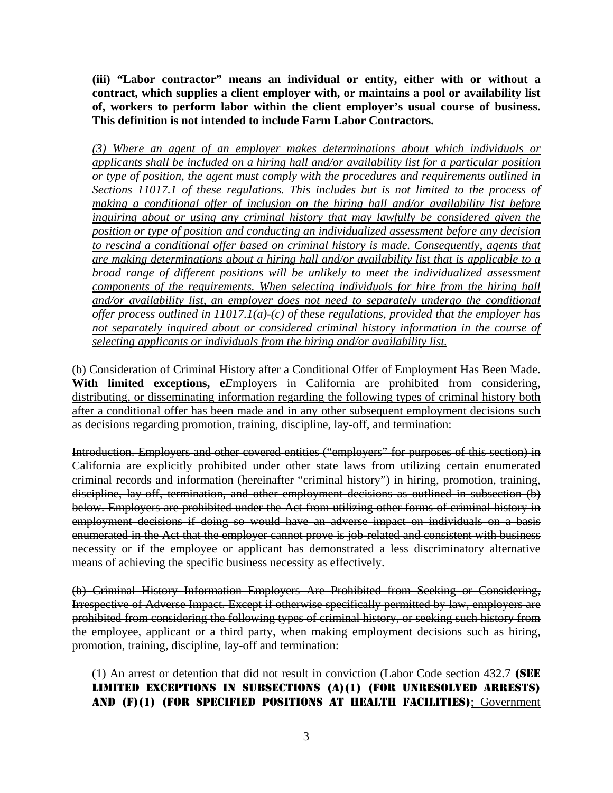**(iii) "Labor contractor" means an individual or entity, either with or without a contract, which supplies a client employer with, or maintains a pool or availability list of, workers to perform labor within the client employer's usual course of business. This definition is not intended to include Farm Labor Contractors.** 

*(3) Where an agent of an employer makes determinations about which individuals or applicants shall be included on a hiring hall and/or availability list for a particular position or type of position, the agent must comply with the procedures and requirements outlined in Sections 11017.1 of these regulations. This includes but is not limited to the process of making a conditional offer of inclusion on the hiring hall and/or availability list before inquiring about or using any criminal history that may lawfully be considered given the position or type of position and conducting an individualized assessment before any decision to rescind a conditional offer based on criminal history is made. Consequently, agents that are making determinations about a hiring hall and/or availability list that is applicable to a broad range of different positions will be unlikely to meet the individualized assessment components of the requirements. When selecting individuals for hire from the hiring hall and/or availability list, an employer does not need to separately undergo the conditional offer process outlined in 11017.1(a)-(c) of these regulations, provided that the employer has not separately inquired about or considered criminal history information in the course of selecting applicants or individuals from the hiring and/or availability list.* 

(b) Consideration of Criminal History after a Conditional Offer of Employment Has Been Made. With limited exceptions, e*E*mployers in California are prohibited from considering, distributing, or disseminating information regarding the following types of criminal history both after a conditional offer has been made and in any other subsequent employment decisions such as decisions regarding promotion, training, discipline, lay-off, and termination:

Introduction. Employers and other covered entities ("employers" for purposes of this section) in California are explicitly prohibited under other state laws from utilizing certain enumerated criminal records and information (hereinafter "criminal history") in hiring, promotion, training, discipline, lay-off, termination, and other employment decisions as outlined in subsection (b) below. Employers are prohibited under the Act from utilizing other forms of criminal history in employment decisions if doing so would have an adverse impact on individuals on a basis enumerated in the Act that the employer cannot prove is job-related and consistent with business necessity or if the employee or applicant has demonstrated a less discriminatory alternative means of achieving the specific business necessity as effectively.

(b) Criminal History Information Employers Are Prohibited from Seeking or Considering, Irrespective of Adverse Impact. Except if otherwise specifically permitted by law, employers are prohibited from considering the following types of criminal history, or seeking such history from the employee, applicant or a third party, when making employment decisions such as hiring, promotion, training, discipline, lay-off and termination:

(1) An arrest or detention that did not result in conviction (Labor Code section 432.7 (SEE LIMITED EXCEPTIONS IN SUBSECTIONS (A)(1) (FOR UNRESOLVED ARRESTS) AND (F)(1) (FOR SPECIFIED POSITIONS AT HEALTH FACILITIES); Government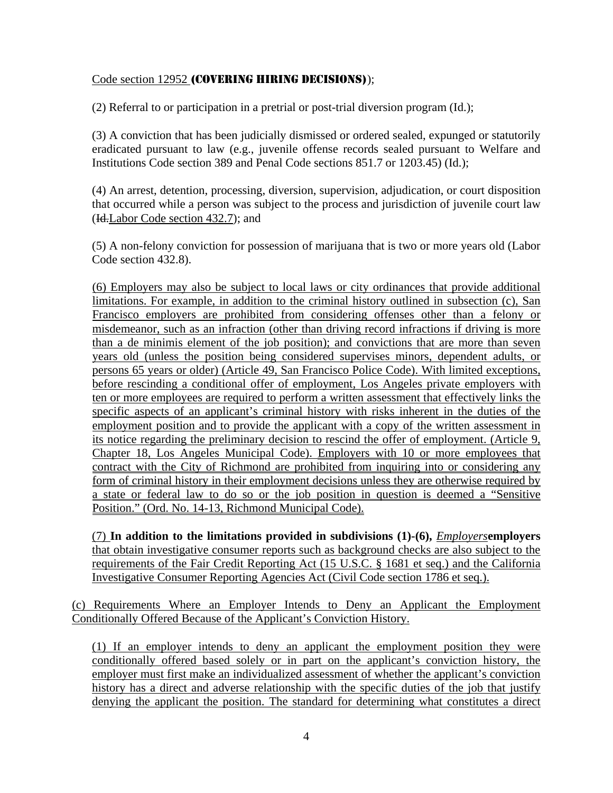# Code section 12952 (COVERING HIRING DECISIONS));

(2) Referral to or participation in a pretrial or post-trial diversion program (Id.);

(3) A conviction that has been judicially dismissed or ordered sealed, expunged or statutorily eradicated pursuant to law (e.g., juvenile offense records sealed pursuant to Welfare and Institutions Code section 389 and Penal Code sections 851.7 or 1203.45) (Id.);

(4) An arrest, detention, processing, diversion, supervision, adjudication, or court disposition that occurred while a person was subject to the process and jurisdiction of juvenile court law (Id.Labor Code section 432.7); and

(5) A non-felony conviction for possession of marijuana that is two or more years old (Labor Code section 432.8).

(6) Employers may also be subject to local laws or city ordinances that provide additional limitations. For example, in addition to the criminal history outlined in subsection (c), San Francisco employers are prohibited from considering offenses other than a felony or misdemeanor, such as an infraction (other than driving record infractions if driving is more than a de minimis element of the job position); and convictions that are more than seven years old (unless the position being considered supervises minors, dependent adults, or persons 65 years or older) (Article 49, San Francisco Police Code). With limited exceptions, before rescinding a conditional offer of employment, Los Angeles private employers with ten or more employees are required to perform a written assessment that effectively links the specific aspects of an applicant's criminal history with risks inherent in the duties of the employment position and to provide the applicant with a copy of the written assessment in its notice regarding the preliminary decision to rescind the offer of employment. (Article 9, Chapter 18, Los Angeles Municipal Code). Employers with 10 or more employees that contract with the City of Richmond are prohibited from inquiring into or considering any form of criminal history in their employment decisions unless they are otherwise required by a state or federal law to do so or the job position in question is deemed a "Sensitive Position." (Ord. No. 14-13, Richmond Municipal Code).

(7) **In addition to the limitations provided in subdivisions (1)-(6),** *Employers***employers** that obtain investigative consumer reports such as background checks are also subject to the requirements of the Fair Credit Reporting Act (15 U.S.C. § 1681 et seq.) and the California Investigative Consumer Reporting Agencies Act (Civil Code section 1786 et seq.).

(c) Requirements Where an Employer Intends to Deny an Applicant the Employment Conditionally Offered Because of the Applicant's Conviction History.

(1) If an employer intends to deny an applicant the employment position they were conditionally offered based solely or in part on the applicant's conviction history, the employer must first make an individualized assessment of whether the applicant's conviction history has a direct and adverse relationship with the specific duties of the job that justify denying the applicant the position. The standard for determining what constitutes a direct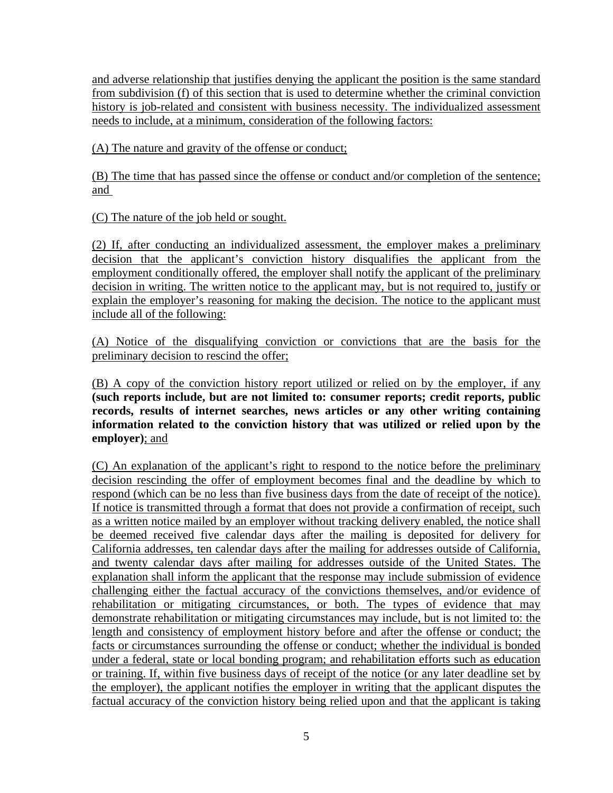and adverse relationship that justifies denying the applicant the position is the same standard from subdivision (f) of this section that is used to determine whether the criminal conviction history is job-related and consistent with business necessity. The individualized assessment needs to include, at a minimum, consideration of the following factors:

(A) The nature and gravity of the offense or conduct;

(B) The time that has passed since the offense or conduct and/or completion of the sentence; and

(C) The nature of the job held or sought.

(2) If, after conducting an individualized assessment, the employer makes a preliminary decision that the applicant's conviction history disqualifies the applicant from the employment conditionally offered, the employer shall notify the applicant of the preliminary decision in writing. The written notice to the applicant may, but is not required to, justify or explain the employer's reasoning for making the decision. The notice to the applicant must include all of the following:

(A) Notice of the disqualifying conviction or convictions that are the basis for the preliminary decision to rescind the offer;

(B) A copy of the conviction history report utilized or relied on by the employer, if any **(such reports include, but are not limited to: consumer reports; credit reports, public records, results of internet searches, news articles or any other writing containing information related to the conviction history that was utilized or relied upon by the employer)**; and

(C) An explanation of the applicant's right to respond to the notice before the preliminary decision rescinding the offer of employment becomes final and the deadline by which to respond (which can be no less than five business days from the date of receipt of the notice). If notice is transmitted through a format that does not provide a confirmation of receipt, such as a written notice mailed by an employer without tracking delivery enabled, the notice shall be deemed received five calendar days after the mailing is deposited for delivery for California addresses, ten calendar days after the mailing for addresses outside of California, and twenty calendar days after mailing for addresses outside of the United States. The explanation shall inform the applicant that the response may include submission of evidence challenging either the factual accuracy of the convictions themselves, and/or evidence of rehabilitation or mitigating circumstances, or both. The types of evidence that may demonstrate rehabilitation or mitigating circumstances may include, but is not limited to: the length and consistency of employment history before and after the offense or conduct; the facts or circumstances surrounding the offense or conduct; whether the individual is bonded under a federal, state or local bonding program; and rehabilitation efforts such as education or training. If, within five business days of receipt of the notice (or any later deadline set by the employer), the applicant notifies the employer in writing that the applicant disputes the factual accuracy of the conviction history being relied upon and that the applicant is taking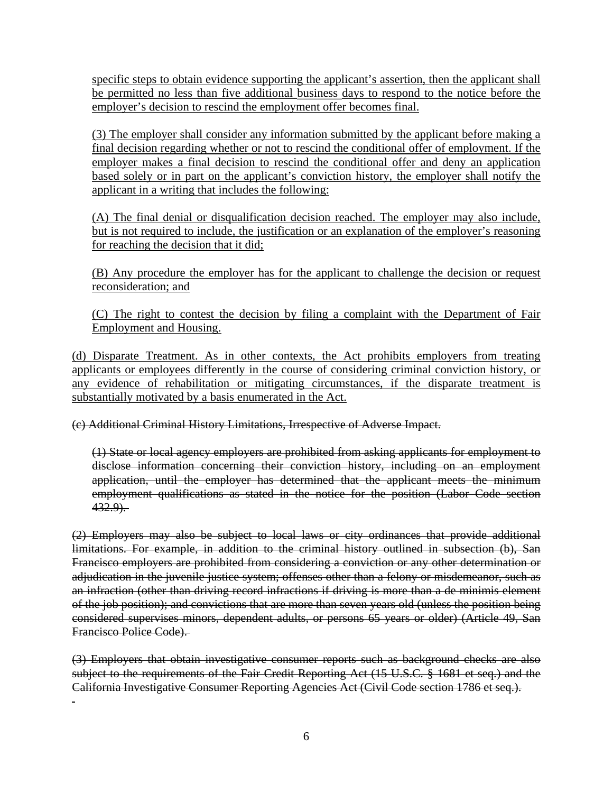specific steps to obtain evidence supporting the applicant's assertion, then the applicant shall be permitted no less than five additional business days to respond to the notice before the employer's decision to rescind the employment offer becomes final.

(3) The employer shall consider any information submitted by the applicant before making a final decision regarding whether or not to rescind the conditional offer of employment. If the employer makes a final decision to rescind the conditional offer and deny an application based solely or in part on the applicant's conviction history, the employer shall notify the applicant in a writing that includes the following:

(A) The final denial or disqualification decision reached. The employer may also include, but is not required to include, the justification or an explanation of the employer's reasoning for reaching the decision that it did;

(B) Any procedure the employer has for the applicant to challenge the decision or request reconsideration; and

(C) The right to contest the decision by filing a complaint with the Department of Fair Employment and Housing.

(d) Disparate Treatment. As in other contexts, the Act prohibits employers from treating applicants or employees differently in the course of considering criminal conviction history, or any evidence of rehabilitation or mitigating circumstances, if the disparate treatment is substantially motivated by a basis enumerated in the Act.

(c) Additional Criminal History Limitations, Irrespective of Adverse Impact.

 $\overline{a}$ 

(1) State or local agency employers are prohibited from asking applicants for employment to disclose information concerning their conviction history, including on an employment application, until the employer has determined that the applicant meets the minimum employment qualifications as stated in the notice for the position (Labor Code section 432.9).

(2) Employers may also be subject to local laws or city ordinances that provide additional limitations. For example, in addition to the criminal history outlined in subsection (b), San Francisco employers are prohibited from considering a conviction or any other determination or adjudication in the juvenile justice system; offenses other than a felony or misdemeanor, such as an infraction (other than driving record infractions if driving is more than a de minimis element of the job position); and convictions that are more than seven years old (unless the position being considered supervises minors, dependent adults, or persons 65 years or older) (Article 49, San Francisco Police Code).

(3) Employers that obtain investigative consumer reports such as background checks are also subject to the requirements of the Fair Credit Reporting Act (15 U.S.C. § 1681 et seq.) and the California Investigative Consumer Reporting Agencies Act (Civil Code section 1786 et seq.).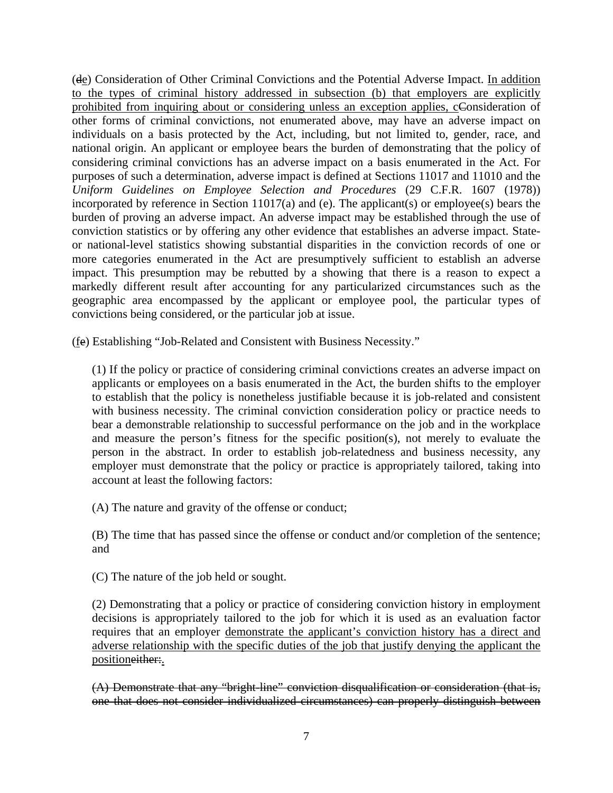(de) Consideration of Other Criminal Convictions and the Potential Adverse Impact. In addition to the types of criminal history addressed in subsection (b) that employers are explicitly prohibited from inquiring about or considering unless an exception applies, cConsideration of other forms of criminal convictions, not enumerated above, may have an adverse impact on individuals on a basis protected by the Act, including, but not limited to, gender, race, and national origin. An applicant or employee bears the burden of demonstrating that the policy of considering criminal convictions has an adverse impact on a basis enumerated in the Act. For purposes of such a determination, adverse impact is defined at Sections 11017 and 11010 and the *Uniform Guidelines on Employee Selection and Procedures* (29 C.F.R. 1607 (1978)) incorporated by reference in Section 11017(a) and (e). The applicant(s) or employee(s) bears the burden of proving an adverse impact. An adverse impact may be established through the use of conviction statistics or by offering any other evidence that establishes an adverse impact. Stateor national-level statistics showing substantial disparities in the conviction records of one or more categories enumerated in the Act are presumptively sufficient to establish an adverse impact. This presumption may be rebutted by a showing that there is a reason to expect a markedly different result after accounting for any particularized circumstances such as the geographic area encompassed by the applicant or employee pool, the particular types of convictions being considered, or the particular job at issue.

(fe) Establishing "Job-Related and Consistent with Business Necessity."

(1) If the policy or practice of considering criminal convictions creates an adverse impact on applicants or employees on a basis enumerated in the Act, the burden shifts to the employer to establish that the policy is nonetheless justifiable because it is job-related and consistent with business necessity. The criminal conviction consideration policy or practice needs to bear a demonstrable relationship to successful performance on the job and in the workplace and measure the person's fitness for the specific position(s), not merely to evaluate the person in the abstract. In order to establish job-relatedness and business necessity, any employer must demonstrate that the policy or practice is appropriately tailored, taking into account at least the following factors:

(A) The nature and gravity of the offense or conduct;

(B) The time that has passed since the offense or conduct and/or completion of the sentence; and

(C) The nature of the job held or sought.

(2) Demonstrating that a policy or practice of considering conviction history in employment decisions is appropriately tailored to the job for which it is used as an evaluation factor requires that an employer demonstrate the applicant's conviction history has a direct and adverse relationship with the specific duties of the job that justify denying the applicant the positioneither:.

(A) Demonstrate that any "bright-line" conviction disqualification or consideration (that is, one that does not consider individualized circumstances) can properly distinguish between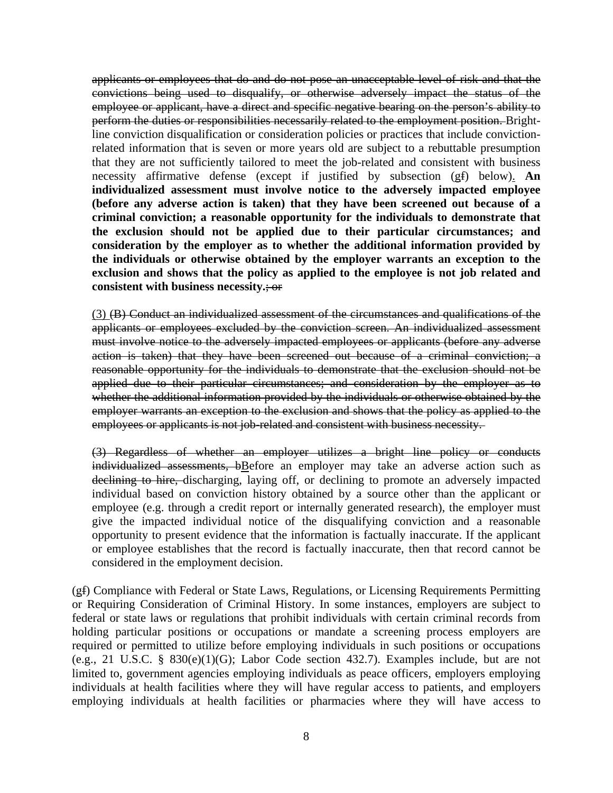applicants or employees that do and do not pose an unacceptable level of risk and that the convictions being used to disqualify, or otherwise adversely impact the status of the employee or applicant, have a direct and specific negative bearing on the person's ability to perform the duties or responsibilities necessarily related to the employment position. Brightline conviction disqualification or consideration policies or practices that include convictionrelated information that is seven or more years old are subject to a rebuttable presumption that they are not sufficiently tailored to meet the job-related and consistent with business necessity affirmative defense (except if justified by subsection (gf) below). **An individualized assessment must involve notice to the adversely impacted employee (before any adverse action is taken) that they have been screened out because of a criminal conviction; a reasonable opportunity for the individuals to demonstrate that the exclusion should not be applied due to their particular circumstances; and consideration by the employer as to whether the additional information provided by the individuals or otherwise obtained by the employer warrants an exception to the exclusion and shows that the policy as applied to the employee is not job related and consistent with business necessity.**; or

(3) (B) Conduct an individualized assessment of the circumstances and qualifications of the applicants or employees excluded by the conviction screen. An individualized assessment must involve notice to the adversely impacted employees or applicants (before any adverse action is taken) that they have been screened out because of a criminal conviction; a reasonable opportunity for the individuals to demonstrate that the exclusion should not be applied due to their particular circumstances; and consideration by the employer as to whether the additional information provided by the individuals or otherwise obtained by the employer warrants an exception to the exclusion and shows that the policy as applied to the employees or applicants is not job-related and consistent with business necessity.

(3) Regardless of whether an employer utilizes a bright line policy or conducts  $individualized$  assessments,  $b$ Before an employer may take an adverse action such as declining to hire, discharging, laying off, or declining to promote an adversely impacted individual based on conviction history obtained by a source other than the applicant or employee (e.g. through a credit report or internally generated research), the employer must give the impacted individual notice of the disqualifying conviction and a reasonable opportunity to present evidence that the information is factually inaccurate. If the applicant or employee establishes that the record is factually inaccurate, then that record cannot be considered in the employment decision.

(gf) Compliance with Federal or State Laws, Regulations, or Licensing Requirements Permitting or Requiring Consideration of Criminal History. In some instances, employers are subject to federal or state laws or regulations that prohibit individuals with certain criminal records from holding particular positions or occupations or mandate a screening process employers are required or permitted to utilize before employing individuals in such positions or occupations (e.g., 21 U.S.C. § 830(e)(1)(G); Labor Code section 432.7). Examples include, but are not limited to, government agencies employing individuals as peace officers, employers employing individuals at health facilities where they will have regular access to patients, and employers employing individuals at health facilities or pharmacies where they will have access to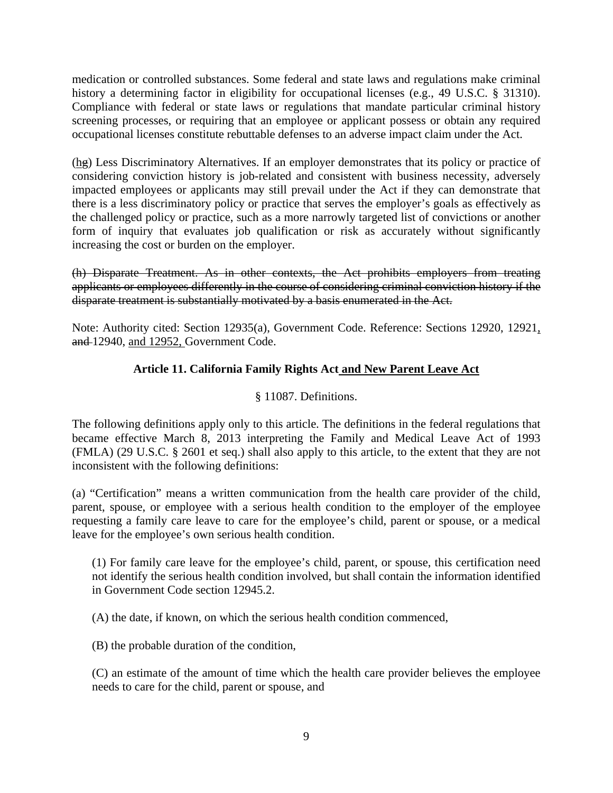medication or controlled substances. Some federal and state laws and regulations make criminal history a determining factor in eligibility for occupational licenses (e.g., 49 U.S.C. § 31310). Compliance with federal or state laws or regulations that mandate particular criminal history screening processes, or requiring that an employee or applicant possess or obtain any required occupational licenses constitute rebuttable defenses to an adverse impact claim under the Act.

(hg) Less Discriminatory Alternatives. If an employer demonstrates that its policy or practice of considering conviction history is job-related and consistent with business necessity, adversely impacted employees or applicants may still prevail under the Act if they can demonstrate that there is a less discriminatory policy or practice that serves the employer's goals as effectively as the challenged policy or practice, such as a more narrowly targeted list of convictions or another form of inquiry that evaluates job qualification or risk as accurately without significantly increasing the cost or burden on the employer.

(h) Disparate Treatment. As in other contexts, the Act prohibits employers from treating applicants or employees differently in the course of considering criminal conviction history if the disparate treatment is substantially motivated by a basis enumerated in the Act.

Note: Authority cited: Section 12935(a), Government Code. Reference: Sections 12920, 12921, and 12940, and 12952, Government Code.

# **Article 11. California Family Rights Act and New Parent Leave Act**

# § 11087. Definitions.

The following definitions apply only to this article. The definitions in the federal regulations that became effective March 8, 2013 interpreting the Family and Medical Leave Act of 1993 (FMLA) (29 U.S.C. § 2601 et seq.) shall also apply to this article, to the extent that they are not inconsistent with the following definitions:

(a) "Certification" means a written communication from the health care provider of the child, parent, spouse, or employee with a serious health condition to the employer of the employee requesting a family care leave to care for the employee's child, parent or spouse, or a medical leave for the employee's own serious health condition.

(1) For family care leave for the employee's child, parent, or spouse, this certification need not identify the serious health condition involved, but shall contain the information identified in Government Code section 12945.2.

(A) the date, if known, on which the serious health condition commenced,

(B) the probable duration of the condition,

(C) an estimate of the amount of time which the health care provider believes the employee needs to care for the child, parent or spouse, and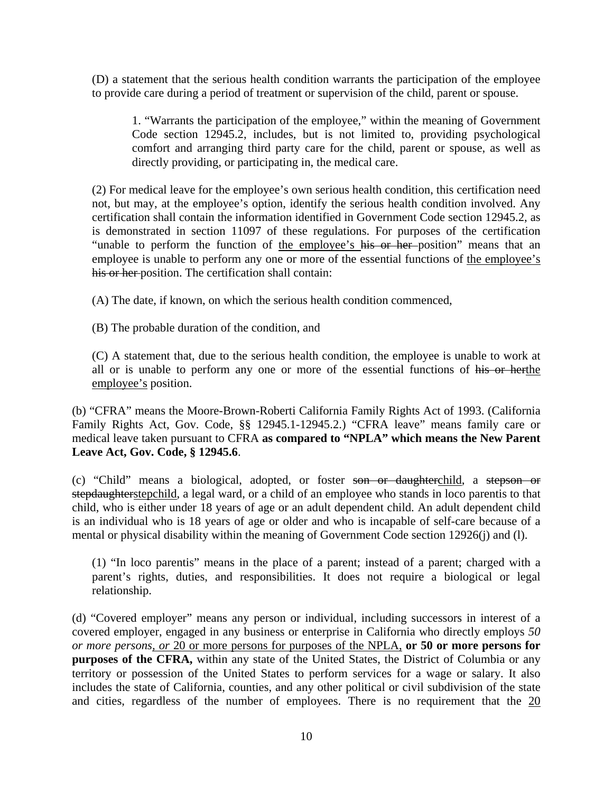(D) a statement that the serious health condition warrants the participation of the employee to provide care during a period of treatment or supervision of the child, parent or spouse.

1. "Warrants the participation of the employee," within the meaning of Government Code section 12945.2, includes, but is not limited to, providing psychological comfort and arranging third party care for the child, parent or spouse, as well as directly providing, or participating in, the medical care.

(2) For medical leave for the employee's own serious health condition, this certification need not, but may, at the employee's option, identify the serious health condition involved. Any certification shall contain the information identified in Government Code section 12945.2, as is demonstrated in section 11097 of these regulations. For purposes of the certification "unable to perform the function of the employee's his or her position" means that an employee is unable to perform any one or more of the essential functions of the employee's his or her position. The certification shall contain:

(A) The date, if known, on which the serious health condition commenced,

(B) The probable duration of the condition, and

(C) A statement that, due to the serious health condition, the employee is unable to work at all or is unable to perform any one or more of the essential functions of his or herthe employee's position.

(b) "CFRA" means the Moore-Brown-Roberti California Family Rights Act of 1993. (California Family Rights Act, Gov. Code, §§ 12945.1-12945.2.) "CFRA leave" means family care or medical leave taken pursuant to CFRA **as compared to "NPLA" which means the New Parent Leave Act, Gov. Code, § 12945.6**.

(c) "Child" means a biological, adopted, or foster son or daughterchild, a stepson or stepdaughterstepchild, a legal ward, or a child of an employee who stands in loco parentis to that child, who is either under 18 years of age or an adult dependent child. An adult dependent child is an individual who is 18 years of age or older and who is incapable of self-care because of a mental or physical disability within the meaning of Government Code section 12926(j) and (l).

(1) "In loco parentis" means in the place of a parent; instead of a parent; charged with a parent's rights, duties, and responsibilities. It does not require a biological or legal relationship.

(d) "Covered employer" means any person or individual, including successors in interest of a covered employer, engaged in any business or enterprise in California who directly employs *50 or more persons, or* 20 or more persons for purposes of the NPLA, **or 50 or more persons for purposes of the CFRA,** within any state of the United States, the District of Columbia or any territory or possession of the United States to perform services for a wage or salary. It also includes the state of California, counties, and any other political or civil subdivision of the state and cities, regardless of the number of employees. There is no requirement that the 20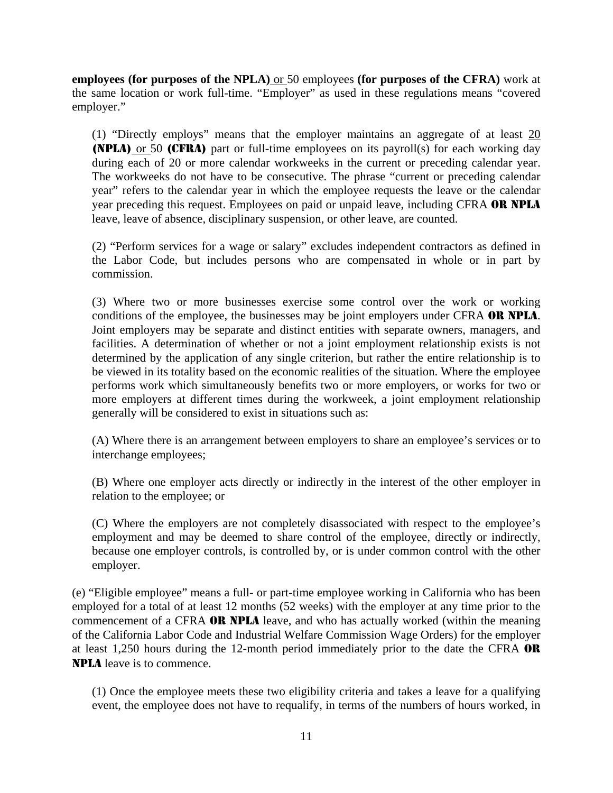**employees (for purposes of the NPLA)** or 50 employees **(for purposes of the CFRA)** work at the same location or work full-time. "Employer" as used in these regulations means "covered employer."

(1) "Directly employs" means that the employer maintains an aggregate of at least 20 (NPLA) or 50 (CFRA) part or full-time employees on its payroll(s) for each working day during each of 20 or more calendar workweeks in the current or preceding calendar year. The workweeks do not have to be consecutive. The phrase "current or preceding calendar year" refers to the calendar year in which the employee requests the leave or the calendar year preceding this request. Employees on paid or unpaid leave, including CFRA OR NPLA leave, leave of absence, disciplinary suspension, or other leave, are counted.

(2) "Perform services for a wage or salary" excludes independent contractors as defined in the Labor Code, but includes persons who are compensated in whole or in part by commission.

(3) Where two or more businesses exercise some control over the work or working conditions of the employee, the businesses may be joint employers under CFRA OR NPLA. Joint employers may be separate and distinct entities with separate owners, managers, and facilities. A determination of whether or not a joint employment relationship exists is not determined by the application of any single criterion, but rather the entire relationship is to be viewed in its totality based on the economic realities of the situation. Where the employee performs work which simultaneously benefits two or more employers, or works for two or more employers at different times during the workweek, a joint employment relationship generally will be considered to exist in situations such as:

(A) Where there is an arrangement between employers to share an employee's services or to interchange employees;

(B) Where one employer acts directly or indirectly in the interest of the other employer in relation to the employee; or

(C) Where the employers are not completely disassociated with respect to the employee's employment and may be deemed to share control of the employee, directly or indirectly, because one employer controls, is controlled by, or is under common control with the other employer.

(e) "Eligible employee" means a full- or part-time employee working in California who has been employed for a total of at least 12 months (52 weeks) with the employer at any time prior to the commencement of a CFRA OR NPLA leave, and who has actually worked (within the meaning of the California Labor Code and Industrial Welfare Commission Wage Orders) for the employer at least 1,250 hours during the 12-month period immediately prior to the date the CFRA OR NPLA leave is to commence.

(1) Once the employee meets these two eligibility criteria and takes a leave for a qualifying event, the employee does not have to requalify, in terms of the numbers of hours worked, in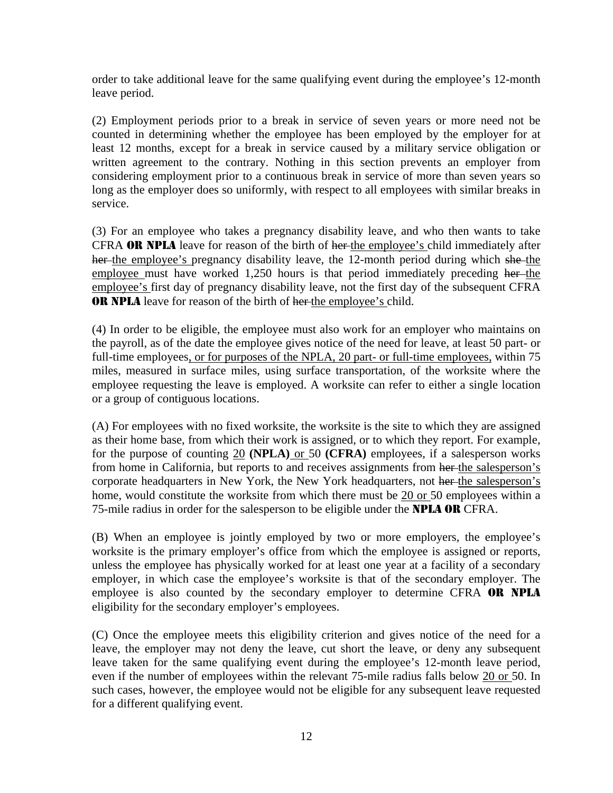order to take additional leave for the same qualifying event during the employee's 12-month leave period.

(2) Employment periods prior to a break in service of seven years or more need not be counted in determining whether the employee has been employed by the employer for at least 12 months, except for a break in service caused by a military service obligation or written agreement to the contrary. Nothing in this section prevents an employer from considering employment prior to a continuous break in service of more than seven years so long as the employer does so uniformly, with respect to all employees with similar breaks in service.

(3) For an employee who takes a pregnancy disability leave, and who then wants to take CFRA OR NPLA leave for reason of the birth of her-the employee's child immediately after her the employee's pregnancy disability leave, the 12-month period during which she the employee must have worked 1,250 hours is that period immediately preceding her-the employee's first day of pregnancy disability leave, not the first day of the subsequent CFRA **OR NPLA** leave for reason of the birth of her the employee's child.

(4) In order to be eligible, the employee must also work for an employer who maintains on the payroll, as of the date the employee gives notice of the need for leave, at least 50 part- or full-time employees, or for purposes of the NPLA, 20 part- or full-time employees, within 75 miles, measured in surface miles, using surface transportation, of the worksite where the employee requesting the leave is employed. A worksite can refer to either a single location or a group of contiguous locations.

(A) For employees with no fixed worksite, the worksite is the site to which they are assigned as their home base, from which their work is assigned, or to which they report. For example, for the purpose of counting 20 **(NPLA)** or 50 **(CFRA)** employees, if a salesperson works from home in California, but reports to and receives assignments from her the salesperson's corporate headquarters in New York, the New York headquarters, not her the salesperson's home, would constitute the worksite from which there must be 20 or 50 employees within a 75-mile radius in order for the salesperson to be eligible under the **NPLA OR** CFRA.

(B) When an employee is jointly employed by two or more employers, the employee's worksite is the primary employer's office from which the employee is assigned or reports, unless the employee has physically worked for at least one year at a facility of a secondary employer, in which case the employee's worksite is that of the secondary employer. The employee is also counted by the secondary employer to determine CFRA OR NPLA eligibility for the secondary employer's employees.

(C) Once the employee meets this eligibility criterion and gives notice of the need for a leave, the employer may not deny the leave, cut short the leave, or deny any subsequent leave taken for the same qualifying event during the employee's 12-month leave period, even if the number of employees within the relevant 75-mile radius falls below 20 or 50. In such cases, however, the employee would not be eligible for any subsequent leave requested for a different qualifying event.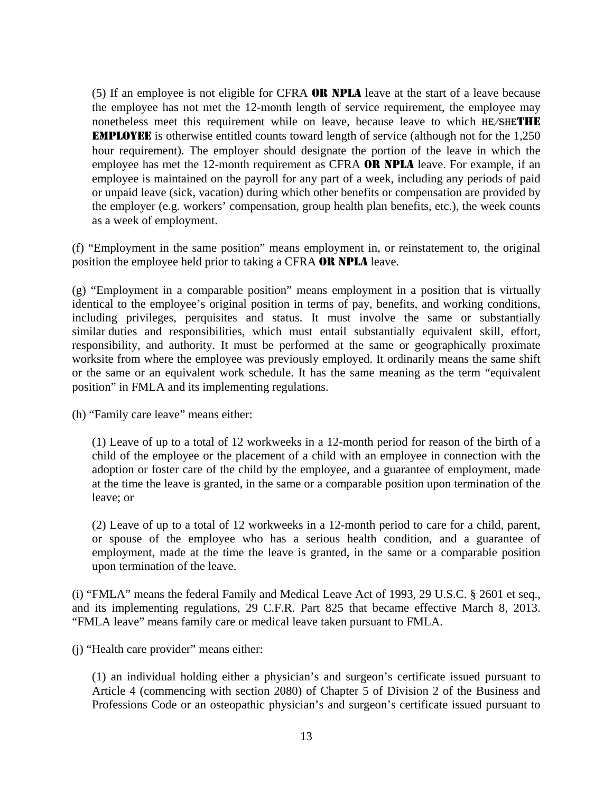(5) If an employee is not eligible for CFRA OR NPLA leave at the start of a leave because the employee has not met the 12-month length of service requirement, the employee may nonetheless meet this requirement while on leave, because leave to which HE/SHETHE EMPLOYEE is otherwise entitled counts toward length of service (although not for the 1,250 hour requirement). The employer should designate the portion of the leave in which the employee has met the 12-month requirement as CFRA OR NPLA leave. For example, if an employee is maintained on the payroll for any part of a week, including any periods of paid or unpaid leave (sick, vacation) during which other benefits or compensation are provided by the employer (e.g. workers' compensation, group health plan benefits, etc.), the week counts as a week of employment.

(f) "Employment in the same position" means employment in, or reinstatement to, the original position the employee held prior to taking a CFRA OR NPLA leave.

(g) "Employment in a comparable position" means employment in a position that is virtually identical to the employee's original position in terms of pay, benefits, and working conditions, including privileges, perquisites and status. It must involve the same or substantially similar duties and responsibilities, which must entail substantially equivalent skill, effort, responsibility, and authority. It must be performed at the same or geographically proximate worksite from where the employee was previously employed. It ordinarily means the same shift or the same or an equivalent work schedule. It has the same meaning as the term "equivalent position" in FMLA and its implementing regulations.

(h) "Family care leave" means either:

(1) Leave of up to a total of 12 workweeks in a 12-month period for reason of the birth of a child of the employee or the placement of a child with an employee in connection with the adoption or foster care of the child by the employee, and a guarantee of employment, made at the time the leave is granted, in the same or a comparable position upon termination of the leave; or

(2) Leave of up to a total of 12 workweeks in a 12-month period to care for a child, parent, or spouse of the employee who has a serious health condition, and a guarantee of employment, made at the time the leave is granted, in the same or a comparable position upon termination of the leave.

(i) "FMLA" means the federal Family and Medical Leave Act of 1993, 29 U.S.C. § 2601 et seq., and its implementing regulations, 29 C.F.R. Part 825 that became effective March 8, 2013. "FMLA leave" means family care or medical leave taken pursuant to FMLA.

(j) "Health care provider" means either:

(1) an individual holding either a physician's and surgeon's certificate issued pursuant to Article 4 (commencing with section 2080) of Chapter 5 of Division 2 of the Business and Professions Code or an osteopathic physician's and surgeon's certificate issued pursuant to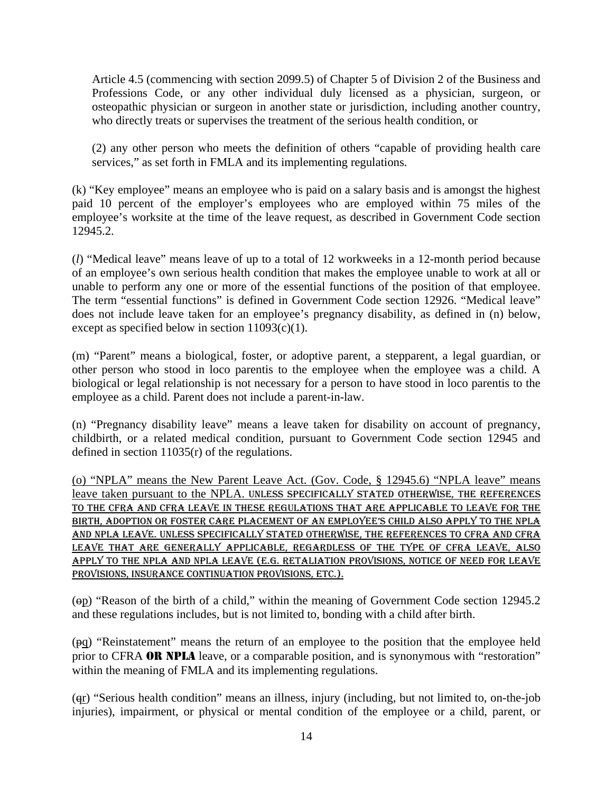Article 4.5 (commencing with section 2099.5) of Chapter 5 of Division 2 of the Business and Professions Code, or any other individual duly licensed as a physician, surgeon, or osteopathic physician or surgeon in another state or jurisdiction, including another country, who directly treats or supervises the treatment of the serious health condition, or

(2) any other person who meets the definition of others "capable of providing health care services," as set forth in FMLA and its implementing regulations.

(k) "Key employee" means an employee who is paid on a salary basis and is amongst the highest paid 10 percent of the employer's employees who are employed within 75 miles of the employee's worksite at the time of the leave request, as described in Government Code section 12945.2.

(*l*) "Medical leave" means leave of up to a total of 12 workweeks in a 12-month period because of an employee's own serious health condition that makes the employee unable to work at all or unable to perform any one or more of the essential functions of the position of that employee. The term "essential functions" is defined in Government Code section 12926. "Medical leave" does not include leave taken for an employee's pregnancy disability, as defined in (n) below, except as specified below in section 11093(c)(1).

(m) "Parent" means a biological, foster, or adoptive parent, a stepparent, a legal guardian, or other person who stood in loco parentis to the employee when the employee was a child. A biological or legal relationship is not necessary for a person to have stood in loco parentis to the employee as a child. Parent does not include a parent-in-law.

(n) "Pregnancy disability leave" means a leave taken for disability on account of pregnancy, childbirth, or a related medical condition, pursuant to Government Code section 12945 and defined in section 11035(r) of the regulations.

(o) "NPLA" means the New Parent Leave Act. (Gov. Code, § 12945.6) "NPLA leave" means leave taken pursuant to the NPLA. UNLESS SPECIFICALLY STATED OTHERWISE, THE REFERENCES TO THE CFRA AND CFRA LEAVE IN THESE REGULATIONS THAT ARE APPLICABLE TO LEAVE FOR THE BIRTH, ADOPTION OR FOSTER CARE PLACEMENT OF AN EMPLOYEE'S CHILD ALSO APPLY TO THE NPLA AND NPLA LEAVE. UNLESS SPECIFICALLY STATED OTHERWISE, THE REFERENCES TO CFRA AND CFRA LEAVE THAT ARE GENERALLY APPLICABLE, REGARDLESS OF THE TYPE OF CFRA LEAVE, ALSO APPLY TO THE NPLA AND NPLA LEAVE (E.G. RETALIATION PROVISIONS, NOTICE OF NEED FOR LEAVE PROVISIONS, INSURANCE CONTINUATION PROVISIONS, ETC.).

(op) "Reason of the birth of a child," within the meaning of Government Code section 12945.2 and these regulations includes, but is not limited to, bonding with a child after birth.

(pq) "Reinstatement" means the return of an employee to the position that the employee held prior to CFRA **OR NPLA** leave, or a comparable position, and is synonymous with "restoration" within the meaning of FMLA and its implementing regulations.

(qr) "Serious health condition" means an illness, injury (including, but not limited to, on-the-job injuries), impairment, or physical or mental condition of the employee or a child, parent, or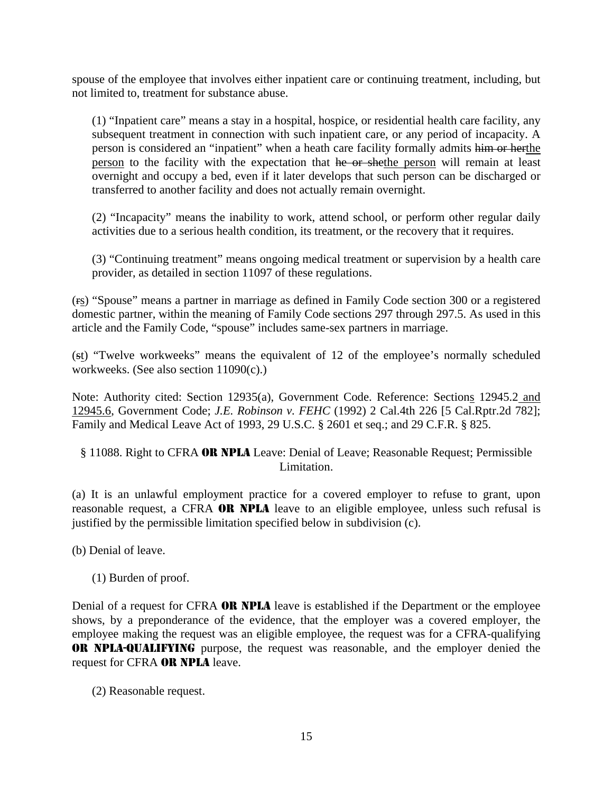spouse of the employee that involves either inpatient care or continuing treatment, including, but not limited to, treatment for substance abuse.

(1) "Inpatient care" means a stay in a hospital, hospice, or residential health care facility, any subsequent treatment in connection with such inpatient care, or any period of incapacity. A person is considered an "inpatient" when a heath care facility formally admits him or herthe person to the facility with the expectation that he or shethe person will remain at least overnight and occupy a bed, even if it later develops that such person can be discharged or transferred to another facility and does not actually remain overnight.

(2) "Incapacity" means the inability to work, attend school, or perform other regular daily activities due to a serious health condition, its treatment, or the recovery that it requires.

(3) "Continuing treatment" means ongoing medical treatment or supervision by a health care provider, as detailed in section 11097 of these regulations.

(rs) "Spouse" means a partner in marriage as defined in Family Code section 300 or a registered domestic partner, within the meaning of Family Code sections 297 through 297.5. As used in this article and the Family Code, "spouse" includes same-sex partners in marriage.

(st) "Twelve workweeks" means the equivalent of 12 of the employee's normally scheduled workweeks. (See also section 11090(c).)

Note: Authority cited: Section 12935(a), Government Code. Reference: Sections 12945.2 and 12945.6, Government Code; *J.E. Robinson v. FEHC* (1992) 2 Cal.4th 226 [5 Cal.Rptr.2d 782]; Family and Medical Leave Act of 1993, 29 U.S.C. § 2601 et seq.; and 29 C.F.R. § 825.

# § 11088. Right to CFRA OR NPLA Leave: Denial of Leave; Reasonable Request; Permissible Limitation.

(a) It is an unlawful employment practice for a covered employer to refuse to grant, upon reasonable request, a CFRA OR NPLA leave to an eligible employee, unless such refusal is justified by the permissible limitation specified below in subdivision (c).

(b) Denial of leave.

(1) Burden of proof.

Denial of a request for CFRA **OR NPLA** leave is established if the Department or the employee shows, by a preponderance of the evidence, that the employer was a covered employer, the employee making the request was an eligible employee, the request was for a CFRA-qualifying OR NPLA-QUALIFYING purpose, the request was reasonable, and the employer denied the request for CFRA OR NPLA leave.

(2) Reasonable request.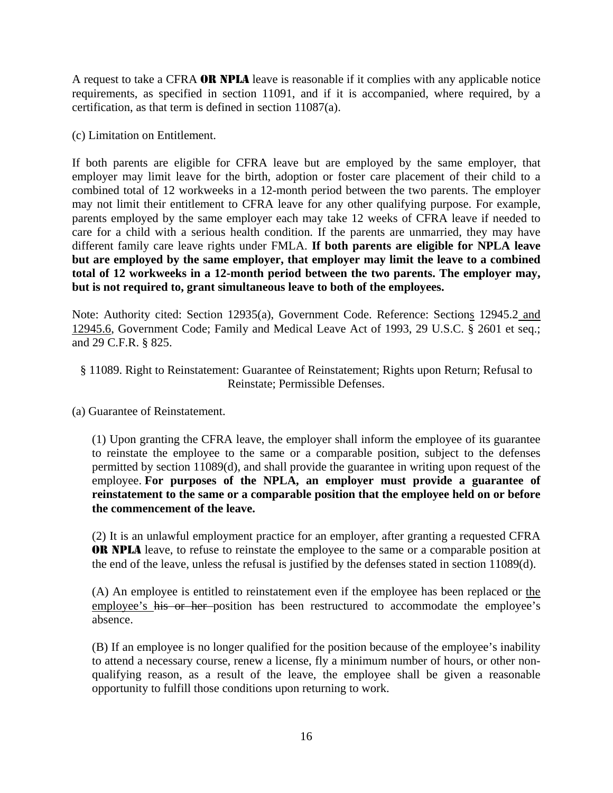A request to take a CFRA OR NPLA leave is reasonable if it complies with any applicable notice requirements, as specified in section 11091, and if it is accompanied, where required, by a certification, as that term is defined in section 11087(a).

(c) Limitation on Entitlement.

If both parents are eligible for CFRA leave but are employed by the same employer, that employer may limit leave for the birth, adoption or foster care placement of their child to a combined total of 12 workweeks in a 12-month period between the two parents. The employer may not limit their entitlement to CFRA leave for any other qualifying purpose. For example, parents employed by the same employer each may take 12 weeks of CFRA leave if needed to care for a child with a serious health condition. If the parents are unmarried, they may have different family care leave rights under FMLA. **If both parents are eligible for NPLA leave but are employed by the same employer, that employer may limit the leave to a combined total of 12 workweeks in a 12-month period between the two parents. The employer may, but is not required to, grant simultaneous leave to both of the employees.**

Note: Authority cited: Section 12935(a), Government Code. Reference: Sections 12945.2 and 12945.6, Government Code; Family and Medical Leave Act of 1993, 29 U.S.C. § 2601 et seq.; and 29 C.F.R. § 825.

## § 11089. Right to Reinstatement: Guarantee of Reinstatement; Rights upon Return; Refusal to Reinstate; Permissible Defenses.

(a) Guarantee of Reinstatement.

(1) Upon granting the CFRA leave, the employer shall inform the employee of its guarantee to reinstate the employee to the same or a comparable position, subject to the defenses permitted by section 11089(d), and shall provide the guarantee in writing upon request of the employee. For purposes of the NPLA, an employer must provide a guarantee of **reinstatement to the same or a comparable position that the employee held on or before the commencement of the leave.**

(2) It is an unlawful employment practice for an employer, after granting a requested CFRA OR NPLA leave, to refuse to reinstate the employee to the same or a comparable position at the end of the leave, unless the refusal is justified by the defenses stated in section 11089(d).

(A) An employee is entitled to reinstatement even if the employee has been replaced or the employee's his or her position has been restructured to accommodate the employee's absence.

(B) If an employee is no longer qualified for the position because of the employee's inability to attend a necessary course, renew a license, fly a minimum number of hours, or other nonqualifying reason, as a result of the leave, the employee shall be given a reasonable opportunity to fulfill those conditions upon returning to work.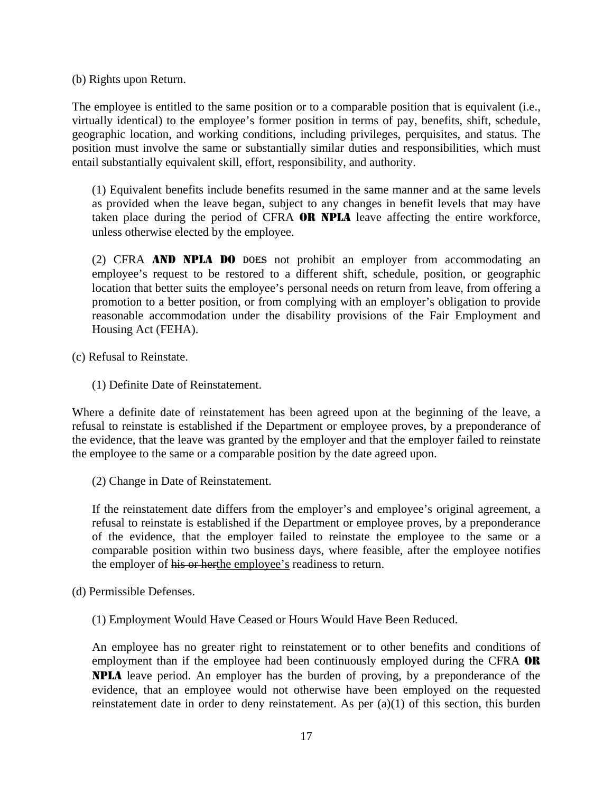(b) Rights upon Return.

The employee is entitled to the same position or to a comparable position that is equivalent (i.e., virtually identical) to the employee's former position in terms of pay, benefits, shift, schedule, geographic location, and working conditions, including privileges, perquisites, and status. The position must involve the same or substantially similar duties and responsibilities, which must entail substantially equivalent skill, effort, responsibility, and authority.

(1) Equivalent benefits include benefits resumed in the same manner and at the same levels as provided when the leave began, subject to any changes in benefit levels that may have taken place during the period of CFRA OR NPLA leave affecting the entire workforce, unless otherwise elected by the employee.

(2) CFRA AND NPLA DO DOES not prohibit an employer from accommodating an employee's request to be restored to a different shift, schedule, position, or geographic location that better suits the employee's personal needs on return from leave, from offering a promotion to a better position, or from complying with an employer's obligation to provide reasonable accommodation under the disability provisions of the Fair Employment and Housing Act (FEHA).

(c) Refusal to Reinstate.

(1) Definite Date of Reinstatement.

Where a definite date of reinstatement has been agreed upon at the beginning of the leave, a refusal to reinstate is established if the Department or employee proves, by a preponderance of the evidence, that the leave was granted by the employer and that the employer failed to reinstate the employee to the same or a comparable position by the date agreed upon.

(2) Change in Date of Reinstatement.

If the reinstatement date differs from the employer's and employee's original agreement, a refusal to reinstate is established if the Department or employee proves, by a preponderance of the evidence, that the employer failed to reinstate the employee to the same or a comparable position within two business days, where feasible, after the employee notifies the employer of his or herthe employee's readiness to return.

- (d) Permissible Defenses.
	- (1) Employment Would Have Ceased or Hours Would Have Been Reduced.

An employee has no greater right to reinstatement or to other benefits and conditions of employment than if the employee had been continuously employed during the CFRA **OR** NPLA leave period. An employer has the burden of proving, by a preponderance of the evidence, that an employee would not otherwise have been employed on the requested reinstatement date in order to deny reinstatement. As per (a)(1) of this section, this burden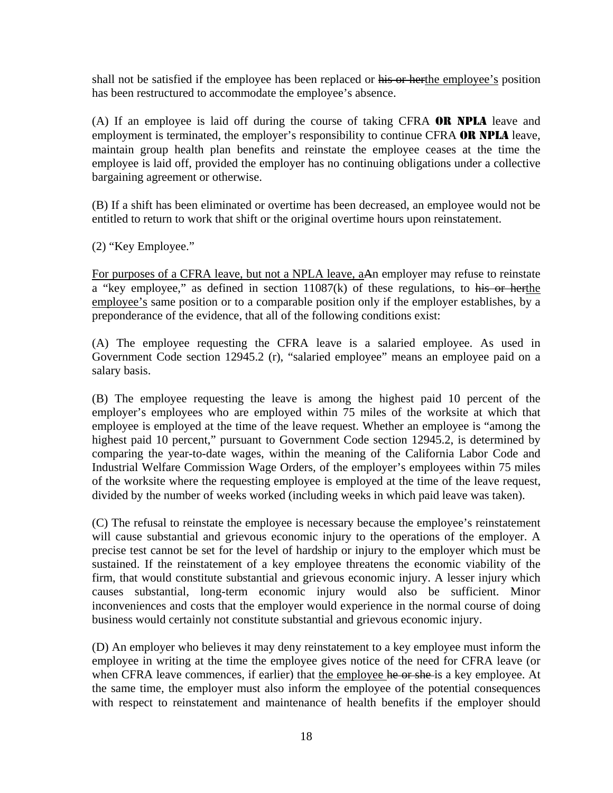shall not be satisfied if the employee has been replaced or his or herthe employee's position has been restructured to accommodate the employee's absence.

(A) If an employee is laid off during the course of taking CFRA OR NPLA leave and employment is terminated, the employer's responsibility to continue CFRA **OR NPLA** leave, maintain group health plan benefits and reinstate the employee ceases at the time the employee is laid off, provided the employer has no continuing obligations under a collective bargaining agreement or otherwise.

(B) If a shift has been eliminated or overtime has been decreased, an employee would not be entitled to return to work that shift or the original overtime hours upon reinstatement.

(2) "Key Employee."

For purposes of a CFRA leave, but not a NPLA leave, aAn employer may refuse to reinstate a "key employee," as defined in section 11087(k) of these regulations, to his or herthe employee's same position or to a comparable position only if the employer establishes, by a preponderance of the evidence, that all of the following conditions exist:

(A) The employee requesting the CFRA leave is a salaried employee. As used in Government Code section 12945.2 (r), "salaried employee" means an employee paid on a salary basis.

(B) The employee requesting the leave is among the highest paid 10 percent of the employer's employees who are employed within 75 miles of the worksite at which that employee is employed at the time of the leave request. Whether an employee is "among the highest paid 10 percent," pursuant to Government Code section 12945.2, is determined by comparing the year-to-date wages, within the meaning of the California Labor Code and Industrial Welfare Commission Wage Orders, of the employer's employees within 75 miles of the worksite where the requesting employee is employed at the time of the leave request, divided by the number of weeks worked (including weeks in which paid leave was taken).

(C) The refusal to reinstate the employee is necessary because the employee's reinstatement will cause substantial and grievous economic injury to the operations of the employer. A precise test cannot be set for the level of hardship or injury to the employer which must be sustained. If the reinstatement of a key employee threatens the economic viability of the firm, that would constitute substantial and grievous economic injury. A lesser injury which causes substantial, long-term economic injury would also be sufficient. Minor inconveniences and costs that the employer would experience in the normal course of doing business would certainly not constitute substantial and grievous economic injury.

(D) An employer who believes it may deny reinstatement to a key employee must inform the employee in writing at the time the employee gives notice of the need for CFRA leave (or when CFRA leave commences, if earlier) that the employee he or she is a key employee. At the same time, the employer must also inform the employee of the potential consequences with respect to reinstatement and maintenance of health benefits if the employer should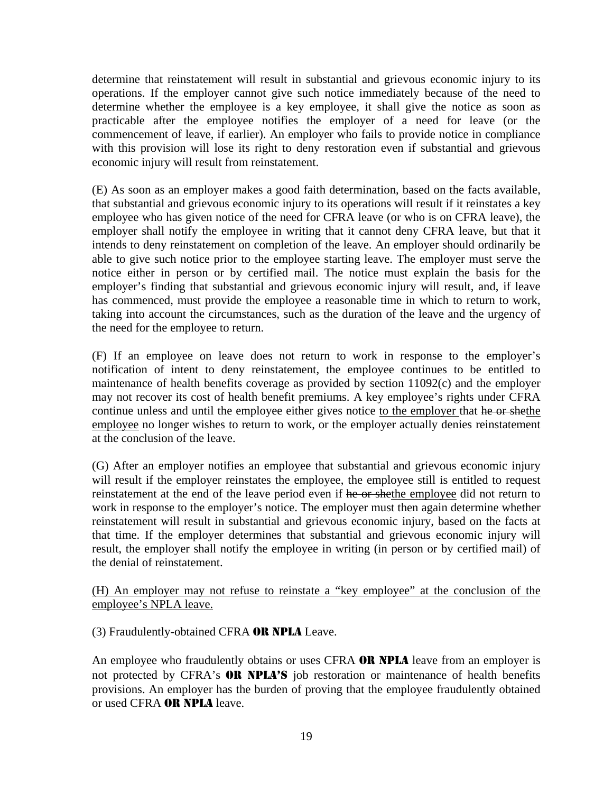determine that reinstatement will result in substantial and grievous economic injury to its operations. If the employer cannot give such notice immediately because of the need to determine whether the employee is a key employee, it shall give the notice as soon as practicable after the employee notifies the employer of a need for leave (or the commencement of leave, if earlier). An employer who fails to provide notice in compliance with this provision will lose its right to deny restoration even if substantial and grievous economic injury will result from reinstatement.

(E) As soon as an employer makes a good faith determination, based on the facts available, that substantial and grievous economic injury to its operations will result if it reinstates a key employee who has given notice of the need for CFRA leave (or who is on CFRA leave), the employer shall notify the employee in writing that it cannot deny CFRA leave, but that it intends to deny reinstatement on completion of the leave. An employer should ordinarily be able to give such notice prior to the employee starting leave. The employer must serve the notice either in person or by certified mail. The notice must explain the basis for the employer's finding that substantial and grievous economic injury will result, and, if leave has commenced, must provide the employee a reasonable time in which to return to work, taking into account the circumstances, such as the duration of the leave and the urgency of the need for the employee to return.

(F) If an employee on leave does not return to work in response to the employer's notification of intent to deny reinstatement, the employee continues to be entitled to maintenance of health benefits coverage as provided by section 11092(c) and the employer may not recover its cost of health benefit premiums. A key employee's rights under CFRA continue unless and until the employee either gives notice to the employer that he or shethe employee no longer wishes to return to work, or the employer actually denies reinstatement at the conclusion of the leave.

(G) After an employer notifies an employee that substantial and grievous economic injury will result if the employer reinstates the employee, the employee still is entitled to request reinstatement at the end of the leave period even if he or shethe employee did not return to work in response to the employer's notice. The employer must then again determine whether reinstatement will result in substantial and grievous economic injury, based on the facts at that time. If the employer determines that substantial and grievous economic injury will result, the employer shall notify the employee in writing (in person or by certified mail) of the denial of reinstatement.

(H) An employer may not refuse to reinstate a "key employee" at the conclusion of the employee's NPLA leave.

(3) Fraudulently-obtained CFRA OR NPLA Leave.

An employee who fraudulently obtains or uses CFRA OR NPLA leave from an employer is not protected by CFRA's **OR NPLA'S** job restoration or maintenance of health benefits provisions. An employer has the burden of proving that the employee fraudulently obtained or used CFRA OR NPLA leave.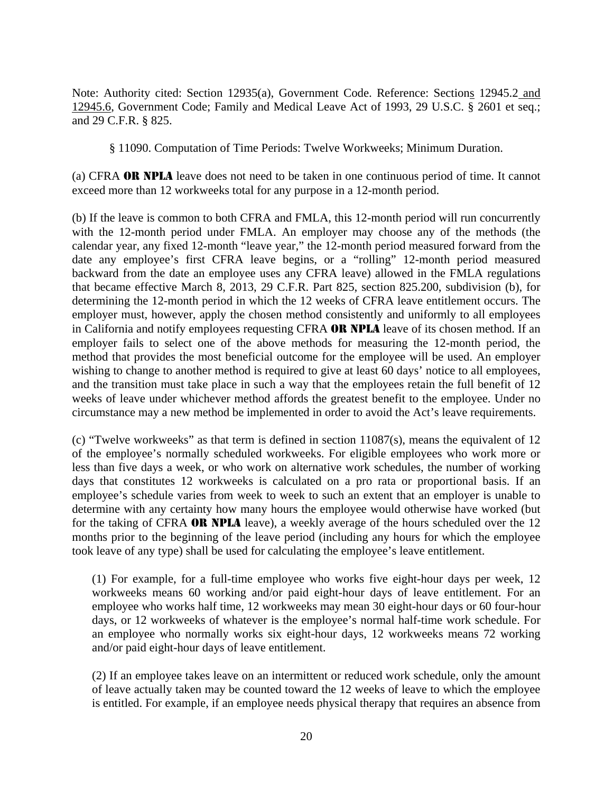Note: Authority cited: Section 12935(a), Government Code. Reference: Sections 12945.2 and 12945.6, Government Code; Family and Medical Leave Act of 1993, 29 U.S.C. § 2601 et seq.; and 29 C.F.R. § 825.

§ 11090. Computation of Time Periods: Twelve Workweeks; Minimum Duration.

(a) CFRA OR NPLA leave does not need to be taken in one continuous period of time. It cannot exceed more than 12 workweeks total for any purpose in a 12-month period.

(b) If the leave is common to both CFRA and FMLA, this 12-month period will run concurrently with the 12-month period under FMLA. An employer may choose any of the methods (the calendar year, any fixed 12-month "leave year," the 12-month period measured forward from the date any employee's first CFRA leave begins, or a "rolling" 12-month period measured backward from the date an employee uses any CFRA leave) allowed in the FMLA regulations that became effective March 8, 2013, 29 C.F.R. Part 825, section 825.200, subdivision (b), for determining the 12-month period in which the 12 weeks of CFRA leave entitlement occurs. The employer must, however, apply the chosen method consistently and uniformly to all employees in California and notify employees requesting CFRA OR NPLA leave of its chosen method. If an employer fails to select one of the above methods for measuring the 12-month period, the method that provides the most beneficial outcome for the employee will be used. An employer wishing to change to another method is required to give at least 60 days' notice to all employees, and the transition must take place in such a way that the employees retain the full benefit of 12 weeks of leave under whichever method affords the greatest benefit to the employee. Under no circumstance may a new method be implemented in order to avoid the Act's leave requirements.

(c) "Twelve workweeks" as that term is defined in section 11087(s), means the equivalent of 12 of the employee's normally scheduled workweeks. For eligible employees who work more or less than five days a week, or who work on alternative work schedules, the number of working days that constitutes 12 workweeks is calculated on a pro rata or proportional basis. If an employee's schedule varies from week to week to such an extent that an employer is unable to determine with any certainty how many hours the employee would otherwise have worked (but for the taking of CFRA OR NPLA leave), a weekly average of the hours scheduled over the 12 months prior to the beginning of the leave period (including any hours for which the employee took leave of any type) shall be used for calculating the employee's leave entitlement.

(1) For example, for a full-time employee who works five eight-hour days per week, 12 workweeks means 60 working and/or paid eight-hour days of leave entitlement. For an employee who works half time, 12 workweeks may mean 30 eight-hour days or 60 four-hour days, or 12 workweeks of whatever is the employee's normal half-time work schedule. For an employee who normally works six eight-hour days, 12 workweeks means 72 working and/or paid eight-hour days of leave entitlement.

(2) If an employee takes leave on an intermittent or reduced work schedule, only the amount of leave actually taken may be counted toward the 12 weeks of leave to which the employee is entitled. For example, if an employee needs physical therapy that requires an absence from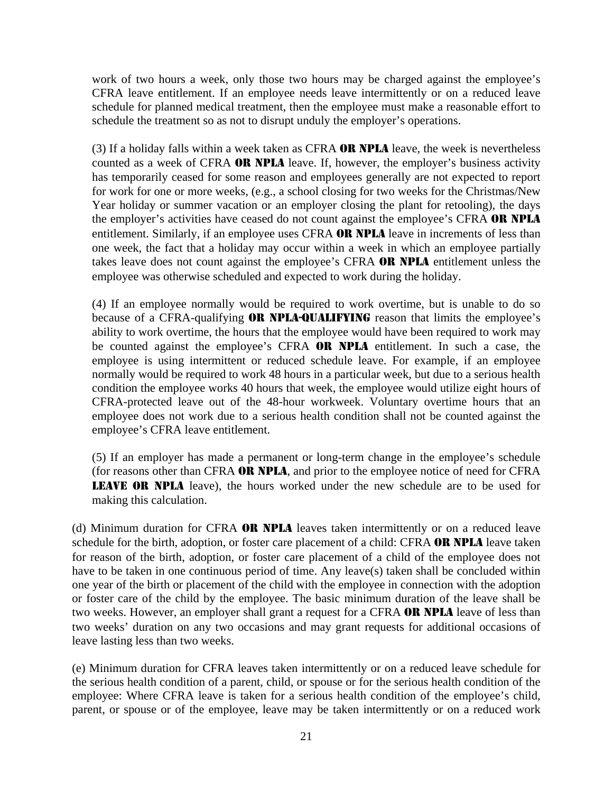work of two hours a week, only those two hours may be charged against the employee's CFRA leave entitlement. If an employee needs leave intermittently or on a reduced leave schedule for planned medical treatment, then the employee must make a reasonable effort to schedule the treatment so as not to disrupt unduly the employer's operations.

(3) If a holiday falls within a week taken as CFRA **OR NPLA** leave, the week is nevertheless counted as a week of CFRA OR NPLA leave. If, however, the employer's business activity has temporarily ceased for some reason and employees generally are not expected to report for work for one or more weeks, (e.g., a school closing for two weeks for the Christmas/New Year holiday or summer vacation or an employer closing the plant for retooling), the days the employer's activities have ceased do not count against the employee's CFRA OR NPLA entitlement. Similarly, if an employee uses CFRA OR NPLA leave in increments of less than one week, the fact that a holiday may occur within a week in which an employee partially takes leave does not count against the employee's CFRA OR NPLA entitlement unless the employee was otherwise scheduled and expected to work during the holiday.

(4) If an employee normally would be required to work overtime, but is unable to do so because of a CFRA-qualifying **OR NPLA-QUALIFYING** reason that limits the employee's ability to work overtime, the hours that the employee would have been required to work may be counted against the employee's CFRA **OR NPLA** entitlement. In such a case, the employee is using intermittent or reduced schedule leave. For example, if an employee normally would be required to work 48 hours in a particular week, but due to a serious health condition the employee works 40 hours that week, the employee would utilize eight hours of CFRA-protected leave out of the 48-hour workweek. Voluntary overtime hours that an employee does not work due to a serious health condition shall not be counted against the employee's CFRA leave entitlement.

(5) If an employer has made a permanent or long-term change in the employee's schedule (for reasons other than CFRA OR NPLA, and prior to the employee notice of need for CFRA LEAVE OR NPLA leave), the hours worked under the new schedule are to be used for making this calculation.

(d) Minimum duration for CFRA OR NPLA leaves taken intermittently or on a reduced leave schedule for the birth, adoption, or foster care placement of a child: CFRA OR NPLA leave taken for reason of the birth, adoption, or foster care placement of a child of the employee does not have to be taken in one continuous period of time. Any leave(s) taken shall be concluded within one year of the birth or placement of the child with the employee in connection with the adoption or foster care of the child by the employee. The basic minimum duration of the leave shall be two weeks. However, an employer shall grant a request for a CFRA **OR NPLA** leave of less than two weeks' duration on any two occasions and may grant requests for additional occasions of leave lasting less than two weeks.

(e) Minimum duration for CFRA leaves taken intermittently or on a reduced leave schedule for the serious health condition of a parent, child, or spouse or for the serious health condition of the employee: Where CFRA leave is taken for a serious health condition of the employee's child, parent, or spouse or of the employee, leave may be taken intermittently or on a reduced work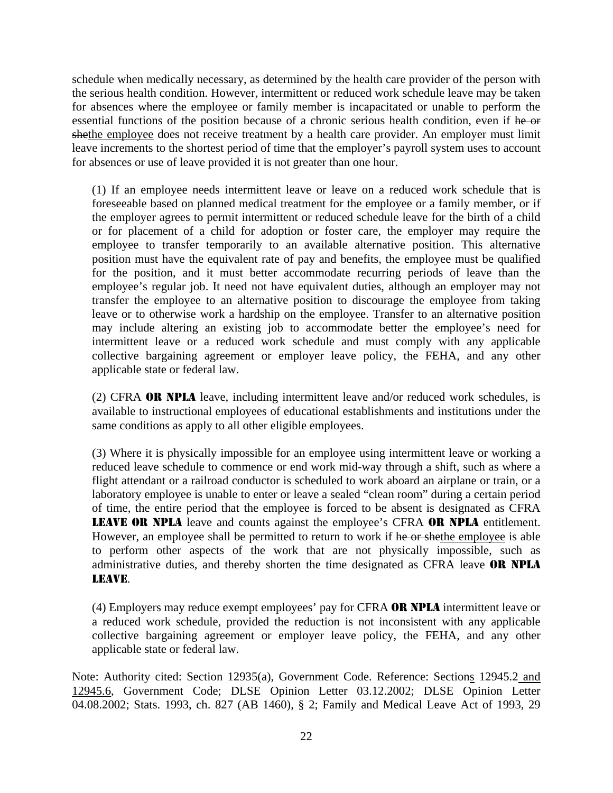schedule when medically necessary, as determined by the health care provider of the person with the serious health condition. However, intermittent or reduced work schedule leave may be taken for absences where the employee or family member is incapacitated or unable to perform the essential functions of the position because of a chronic serious health condition, even if he or shethe employee does not receive treatment by a health care provider. An employer must limit leave increments to the shortest period of time that the employer's payroll system uses to account for absences or use of leave provided it is not greater than one hour.

(1) If an employee needs intermittent leave or leave on a reduced work schedule that is foreseeable based on planned medical treatment for the employee or a family member, or if the employer agrees to permit intermittent or reduced schedule leave for the birth of a child or for placement of a child for adoption or foster care, the employer may require the employee to transfer temporarily to an available alternative position. This alternative position must have the equivalent rate of pay and benefits, the employee must be qualified for the position, and it must better accommodate recurring periods of leave than the employee's regular job. It need not have equivalent duties, although an employer may not transfer the employee to an alternative position to discourage the employee from taking leave or to otherwise work a hardship on the employee. Transfer to an alternative position may include altering an existing job to accommodate better the employee's need for intermittent leave or a reduced work schedule and must comply with any applicable collective bargaining agreement or employer leave policy, the FEHA, and any other applicable state or federal law.

(2) CFRA **OR NPLA** leave, including intermittent leave and/or reduced work schedules, is available to instructional employees of educational establishments and institutions under the same conditions as apply to all other eligible employees.

(3) Where it is physically impossible for an employee using intermittent leave or working a reduced leave schedule to commence or end work mid-way through a shift, such as where a flight attendant or a railroad conductor is scheduled to work aboard an airplane or train, or a laboratory employee is unable to enter or leave a sealed "clean room" during a certain period of time, the entire period that the employee is forced to be absent is designated as CFRA LEAVE OR NPLA leave and counts against the employee's CFRA OR NPLA entitlement. However, an employee shall be permitted to return to work if he or shethe employee is able to perform other aspects of the work that are not physically impossible, such as administrative duties, and thereby shorten the time designated as CFRA leave OR NPLA LEAVE.

(4) Employers may reduce exempt employees' pay for CFRA OR NPLA intermittent leave or a reduced work schedule, provided the reduction is not inconsistent with any applicable collective bargaining agreement or employer leave policy, the FEHA, and any other applicable state or federal law.

Note: Authority cited: Section 12935(a), Government Code. Reference: Sections 12945.2 and 12945.6, Government Code; DLSE Opinion Letter 03.12.2002; DLSE Opinion Letter 04.08.2002; Stats. 1993, ch. 827 (AB 1460), § 2; Family and Medical Leave Act of 1993, 29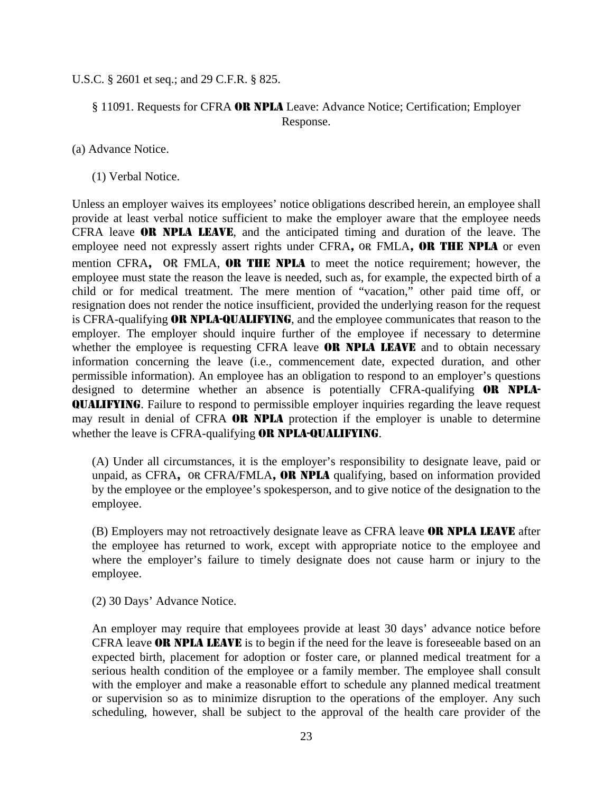#### U.S.C. § 2601 et seq.; and 29 C.F.R. § 825.

# § 11091. Requests for CFRA OR NPLA Leave: Advance Notice; Certification; Employer Response.

(a) Advance Notice.

(1) Verbal Notice.

Unless an employer waives its employees' notice obligations described herein, an employee shall provide at least verbal notice sufficient to make the employer aware that the employee needs CFRA leave OR NPLA LEAVE, and the anticipated timing and duration of the leave. The employee need not expressly assert rights under CFRA, OR FMLA, OR THE NPLA or even mention CFRA, OR FMLA, OR THE NPLA to meet the notice requirement; however, the employee must state the reason the leave is needed, such as, for example, the expected birth of a child or for medical treatment. The mere mention of "vacation," other paid time off, or resignation does not render the notice insufficient, provided the underlying reason for the request is CFRA-qualifying OR NPLA-QUALIFYING, and the employee communicates that reason to the employer. The employer should inquire further of the employee if necessary to determine whether the employee is requesting CFRA leave **OR NPLA LEAVE** and to obtain necessary information concerning the leave (i.e., commencement date, expected duration, and other permissible information). An employee has an obligation to respond to an employer's questions designed to determine whether an absence is potentially CFRA-qualifying OR NPLA-QUALIFYING. Failure to respond to permissible employer inquiries regarding the leave request may result in denial of CFRA **OR NPLA** protection if the employer is unable to determine whether the leave is CFRA-qualifying **OR NPLA-QUALIFYING**.

(A) Under all circumstances, it is the employer's responsibility to designate leave, paid or unpaid, as CFRA, OR CFRA/FMLA, OR NPLA qualifying, based on information provided by the employee or the employee's spokesperson, and to give notice of the designation to the employee.

(B) Employers may not retroactively designate leave as CFRA leave OR NPLA LEAVE after the employee has returned to work, except with appropriate notice to the employee and where the employer's failure to timely designate does not cause harm or injury to the employee.

(2) 30 Days' Advance Notice.

An employer may require that employees provide at least 30 days' advance notice before CFRA leave OR NPLA LEAVE is to begin if the need for the leave is foreseeable based on an expected birth, placement for adoption or foster care, or planned medical treatment for a serious health condition of the employee or a family member. The employee shall consult with the employer and make a reasonable effort to schedule any planned medical treatment or supervision so as to minimize disruption to the operations of the employer. Any such scheduling, however, shall be subject to the approval of the health care provider of the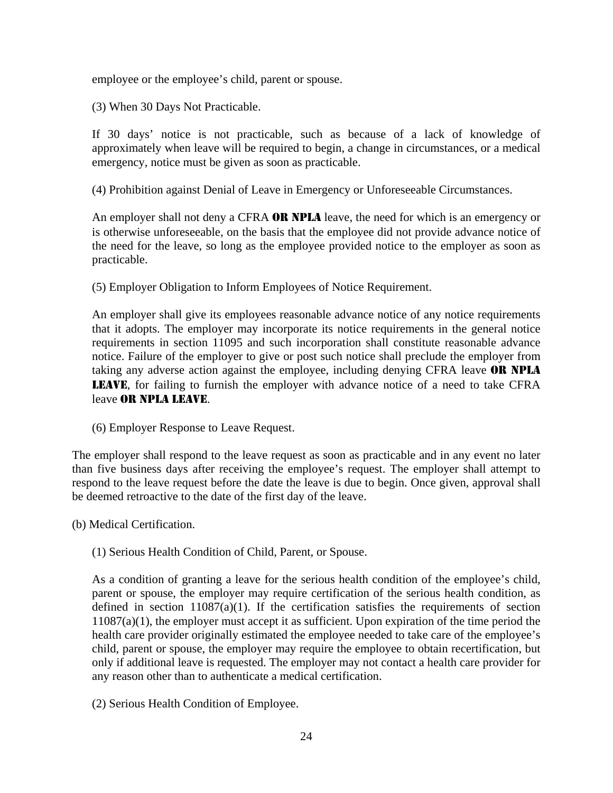employee or the employee's child, parent or spouse.

(3) When 30 Days Not Practicable.

If 30 days' notice is not practicable, such as because of a lack of knowledge of approximately when leave will be required to begin, a change in circumstances, or a medical emergency, notice must be given as soon as practicable.

(4) Prohibition against Denial of Leave in Emergency or Unforeseeable Circumstances.

An employer shall not deny a CFRA OR NPLA leave, the need for which is an emergency or is otherwise unforeseeable, on the basis that the employee did not provide advance notice of the need for the leave, so long as the employee provided notice to the employer as soon as practicable.

(5) Employer Obligation to Inform Employees of Notice Requirement.

An employer shall give its employees reasonable advance notice of any notice requirements that it adopts. The employer may incorporate its notice requirements in the general notice requirements in section 11095 and such incorporation shall constitute reasonable advance notice. Failure of the employer to give or post such notice shall preclude the employer from taking any adverse action against the employee, including denying CFRA leave **OR NPLA** LEAVE, for failing to furnish the employer with advance notice of a need to take CFRA leave OR NPLA LEAVE.

(6) Employer Response to Leave Request.

The employer shall respond to the leave request as soon as practicable and in any event no later than five business days after receiving the employee's request. The employer shall attempt to respond to the leave request before the date the leave is due to begin. Once given, approval shall be deemed retroactive to the date of the first day of the leave.

(b) Medical Certification.

(1) Serious Health Condition of Child, Parent, or Spouse.

As a condition of granting a leave for the serious health condition of the employee's child, parent or spouse, the employer may require certification of the serious health condition, as defined in section  $11087(a)(1)$ . If the certification satisfies the requirements of section 11087(a)(1), the employer must accept it as sufficient. Upon expiration of the time period the health care provider originally estimated the employee needed to take care of the employee's child, parent or spouse, the employer may require the employee to obtain recertification, but only if additional leave is requested. The employer may not contact a health care provider for any reason other than to authenticate a medical certification.

(2) Serious Health Condition of Employee.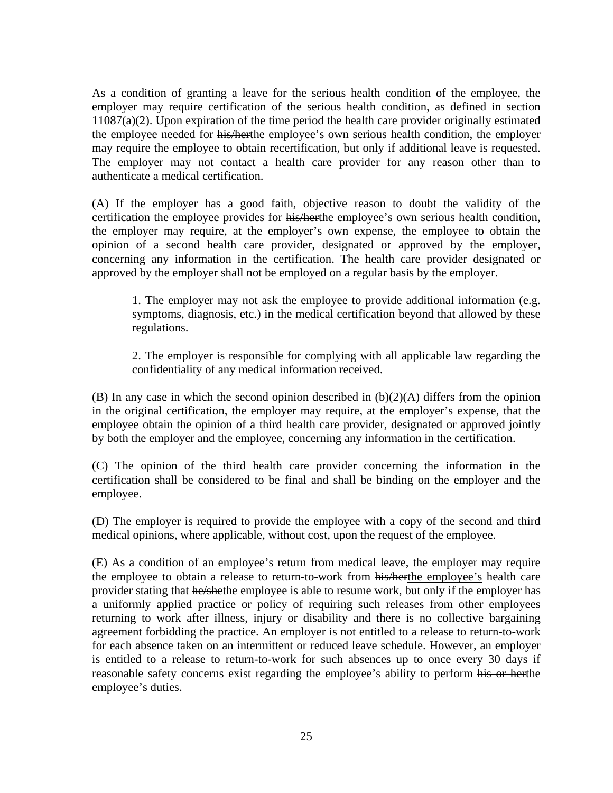As a condition of granting a leave for the serious health condition of the employee, the employer may require certification of the serious health condition, as defined in section  $11087(a)(2)$ . Upon expiration of the time period the health care provider originally estimated the employee needed for his/herthe employee's own serious health condition, the employer may require the employee to obtain recertification, but only if additional leave is requested. The employer may not contact a health care provider for any reason other than to authenticate a medical certification.

(A) If the employer has a good faith, objective reason to doubt the validity of the certification the employee provides for his/herthe employee's own serious health condition, the employer may require, at the employer's own expense, the employee to obtain the opinion of a second health care provider, designated or approved by the employer, concerning any information in the certification. The health care provider designated or approved by the employer shall not be employed on a regular basis by the employer.

1. The employer may not ask the employee to provide additional information (e.g. symptoms, diagnosis, etc.) in the medical certification beyond that allowed by these regulations.

2. The employer is responsible for complying with all applicable law regarding the confidentiality of any medical information received.

(B) In any case in which the second opinion described in  $(b)(2)(A)$  differs from the opinion in the original certification, the employer may require, at the employer's expense, that the employee obtain the opinion of a third health care provider, designated or approved jointly by both the employer and the employee, concerning any information in the certification.

(C) The opinion of the third health care provider concerning the information in the certification shall be considered to be final and shall be binding on the employer and the employee.

(D) The employer is required to provide the employee with a copy of the second and third medical opinions, where applicable, without cost, upon the request of the employee.

(E) As a condition of an employee's return from medical leave, the employer may require the employee to obtain a release to return-to-work from his/herthe employee's health care provider stating that he/shethe employee is able to resume work, but only if the employer has a uniformly applied practice or policy of requiring such releases from other employees returning to work after illness, injury or disability and there is no collective bargaining agreement forbidding the practice. An employer is not entitled to a release to return-to-work for each absence taken on an intermittent or reduced leave schedule. However, an employer is entitled to a release to return-to-work for such absences up to once every 30 days if reasonable safety concerns exist regarding the employee's ability to perform his or herthe employee's duties.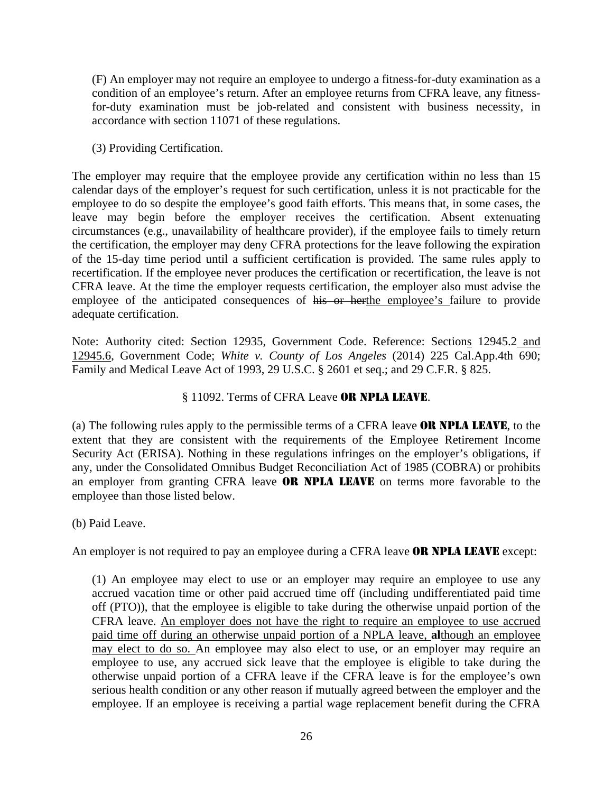(F) An employer may not require an employee to undergo a fitness-for-duty examination as a condition of an employee's return. After an employee returns from CFRA leave, any fitnessfor-duty examination must be job-related and consistent with business necessity, in accordance with section 11071 of these regulations.

(3) Providing Certification.

The employer may require that the employee provide any certification within no less than 15 calendar days of the employer's request for such certification, unless it is not practicable for the employee to do so despite the employee's good faith efforts. This means that, in some cases, the leave may begin before the employer receives the certification. Absent extenuating circumstances (e.g., unavailability of healthcare provider), if the employee fails to timely return the certification, the employer may deny CFRA protections for the leave following the expiration of the 15-day time period until a sufficient certification is provided. The same rules apply to recertification. If the employee never produces the certification or recertification, the leave is not CFRA leave. At the time the employer requests certification, the employer also must advise the employee of the anticipated consequences of his or herthe employee's failure to provide adequate certification.

Note: Authority cited: Section 12935, Government Code. Reference: Sections 12945.2 and 12945.6, Government Code; *White v. County of Los Angeles* (2014) 225 Cal.App.4th 690; Family and Medical Leave Act of 1993, 29 U.S.C. § 2601 et seq.; and 29 C.F.R. § 825.

# § 11092. Terms of CFRA Leave OR NPLA LEAVE.

(a) The following rules apply to the permissible terms of a CFRA leave OR NPLA LEAVE, to the extent that they are consistent with the requirements of the Employee Retirement Income Security Act (ERISA). Nothing in these regulations infringes on the employer's obligations, if any, under the Consolidated Omnibus Budget Reconciliation Act of 1985 (COBRA) or prohibits an employer from granting CFRA leave OR NPLA LEAVE on terms more favorable to the employee than those listed below.

(b) Paid Leave.

An employer is not required to pay an employee during a CFRA leave **OR NPLA LEAVE** except:

(1) An employee may elect to use or an employer may require an employee to use any accrued vacation time or other paid accrued time off (including undifferentiated paid time off (PTO)), that the employee is eligible to take during the otherwise unpaid portion of the CFRA leave. An employer does not have the right to require an employee to use accrued paid time off during an otherwise unpaid portion of a NPLA leave, **al**though an employee may elect to do so. An employee may also elect to use, or an employer may require an employee to use, any accrued sick leave that the employee is eligible to take during the otherwise unpaid portion of a CFRA leave if the CFRA leave is for the employee's own serious health condition or any other reason if mutually agreed between the employer and the employee. If an employee is receiving a partial wage replacement benefit during the CFRA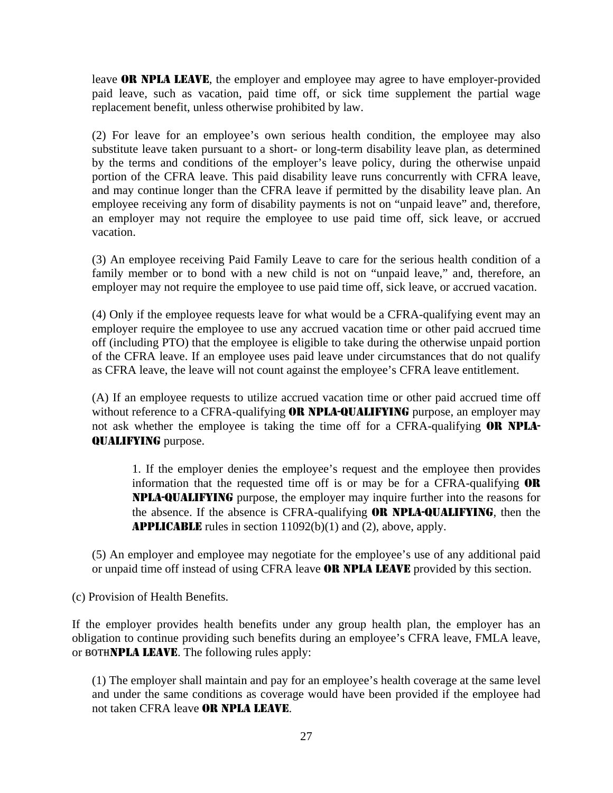leave **OR NPLA LEAVE**, the employer and employee may agree to have employer-provided paid leave, such as vacation, paid time off, or sick time supplement the partial wage replacement benefit, unless otherwise prohibited by law.

(2) For leave for an employee's own serious health condition, the employee may also substitute leave taken pursuant to a short- or long-term disability leave plan, as determined by the terms and conditions of the employer's leave policy, during the otherwise unpaid portion of the CFRA leave. This paid disability leave runs concurrently with CFRA leave, and may continue longer than the CFRA leave if permitted by the disability leave plan. An employee receiving any form of disability payments is not on "unpaid leave" and, therefore, an employer may not require the employee to use paid time off, sick leave, or accrued vacation.

(3) An employee receiving Paid Family Leave to care for the serious health condition of a family member or to bond with a new child is not on "unpaid leave," and, therefore, an employer may not require the employee to use paid time off, sick leave, or accrued vacation.

(4) Only if the employee requests leave for what would be a CFRA-qualifying event may an employer require the employee to use any accrued vacation time or other paid accrued time off (including PTO) that the employee is eligible to take during the otherwise unpaid portion of the CFRA leave. If an employee uses paid leave under circumstances that do not qualify as CFRA leave, the leave will not count against the employee's CFRA leave entitlement.

(A) If an employee requests to utilize accrued vacation time or other paid accrued time off without reference to a CFRA-qualifying **OR NPLA-QUALIFYING** purpose, an employer may not ask whether the employee is taking the time off for a CFRA-qualifying **OR NPLA-**QUALIFYING purpose.

1. If the employer denies the employee's request and the employee then provides information that the requested time off is or may be for a CFRA-qualifying OR NPLA-QUALIFYING purpose, the employer may inquire further into the reasons for the absence. If the absence is CFRA-qualifying OR NPLA-QUALIFYING, then the APPLICABLE rules in section 11092(b)(1) and (2), above, apply.

(5) An employer and employee may negotiate for the employee's use of any additional paid or unpaid time off instead of using CFRA leave OR NPLA LEAVE provided by this section.

(c) Provision of Health Benefits.

If the employer provides health benefits under any group health plan, the employer has an obligation to continue providing such benefits during an employee's CFRA leave, FMLA leave, or BOTHNPLA LEAVE. The following rules apply:

(1) The employer shall maintain and pay for an employee's health coverage at the same level and under the same conditions as coverage would have been provided if the employee had not taken CFRA leave OR NPLA LEAVE.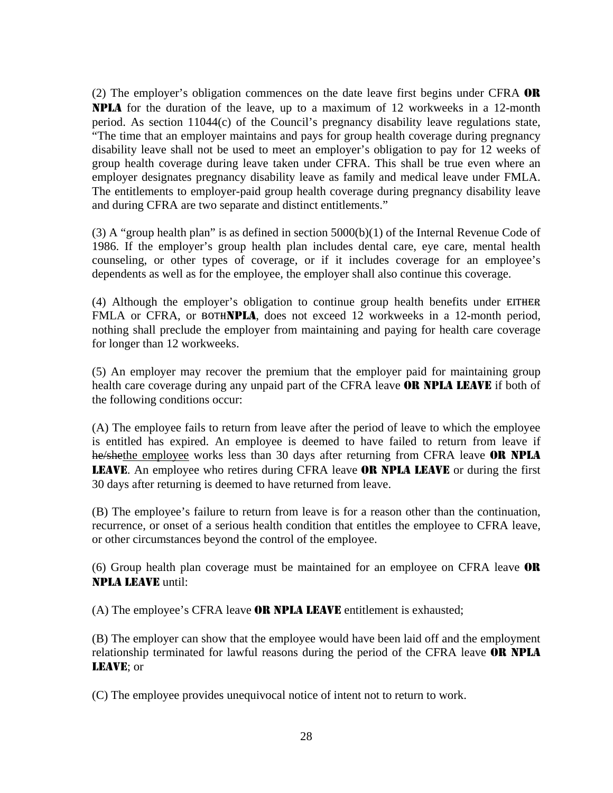(2) The employer's obligation commences on the date leave first begins under CFRA OR NPLA for the duration of the leave, up to a maximum of 12 workweeks in a 12-month period. As section 11044(c) of the Council's pregnancy disability leave regulations state, "The time that an employer maintains and pays for group health coverage during pregnancy disability leave shall not be used to meet an employer's obligation to pay for 12 weeks of group health coverage during leave taken under CFRA. This shall be true even where an employer designates pregnancy disability leave as family and medical leave under FMLA. The entitlements to employer-paid group health coverage during pregnancy disability leave and during CFRA are two separate and distinct entitlements."

(3) A "group health plan" is as defined in section  $5000(b)(1)$  of the Internal Revenue Code of 1986. If the employer's group health plan includes dental care, eye care, mental health counseling, or other types of coverage, or if it includes coverage for an employee's dependents as well as for the employee, the employer shall also continue this coverage.

(4) Although the employer's obligation to continue group health benefits under EITHER FMLA or CFRA, or BOTHNPLA, does not exceed 12 workweeks in a 12-month period, nothing shall preclude the employer from maintaining and paying for health care coverage for longer than 12 workweeks.

(5) An employer may recover the premium that the employer paid for maintaining group health care coverage during any unpaid part of the CFRA leave **OR NPLA LEAVE** if both of the following conditions occur:

(A) The employee fails to return from leave after the period of leave to which the employee is entitled has expired. An employee is deemed to have failed to return from leave if he/shethe employee works less than 30 days after returning from CFRA leave OR NPLA LEAVE. An employee who retires during CFRA leave OR NPLA LEAVE or during the first 30 days after returning is deemed to have returned from leave.

(B) The employee's failure to return from leave is for a reason other than the continuation, recurrence, or onset of a serious health condition that entitles the employee to CFRA leave, or other circumstances beyond the control of the employee.

(6) Group health plan coverage must be maintained for an employee on CFRA leave OR NPLA LEAVE until:

(A) The employee's CFRA leave **OR NPLA LEAVE** entitlement is exhausted;

(B) The employer can show that the employee would have been laid off and the employment relationship terminated for lawful reasons during the period of the CFRA leave OR NPLA LEAVE; or

(C) The employee provides unequivocal notice of intent not to return to work.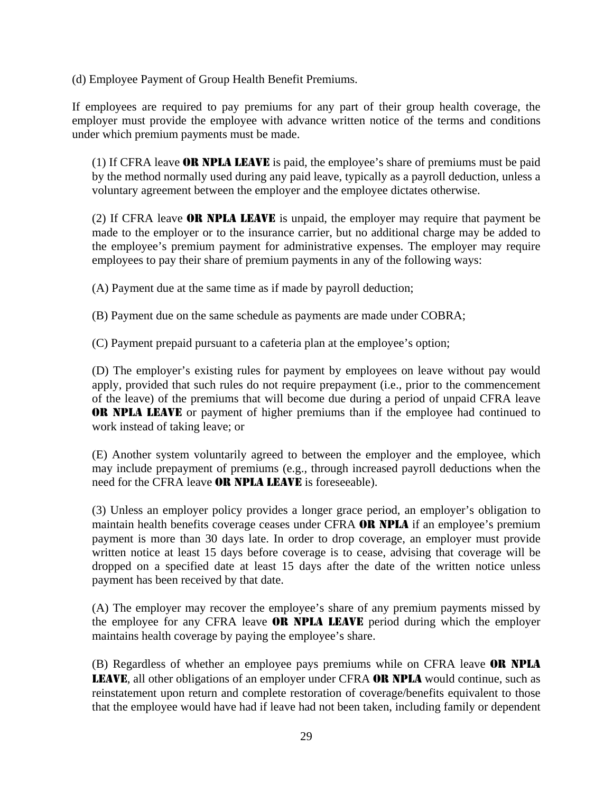(d) Employee Payment of Group Health Benefit Premiums.

If employees are required to pay premiums for any part of their group health coverage, the employer must provide the employee with advance written notice of the terms and conditions under which premium payments must be made.

(1) If CFRA leave OR NPLA LEAVE is paid, the employee's share of premiums must be paid by the method normally used during any paid leave, typically as a payroll deduction, unless a voluntary agreement between the employer and the employee dictates otherwise.

(2) If CFRA leave OR NPLA LEAVE is unpaid, the employer may require that payment be made to the employer or to the insurance carrier, but no additional charge may be added to the employee's premium payment for administrative expenses. The employer may require employees to pay their share of premium payments in any of the following ways:

(A) Payment due at the same time as if made by payroll deduction;

(B) Payment due on the same schedule as payments are made under COBRA;

(C) Payment prepaid pursuant to a cafeteria plan at the employee's option;

(D) The employer's existing rules for payment by employees on leave without pay would apply, provided that such rules do not require prepayment (i.e., prior to the commencement of the leave) of the premiums that will become due during a period of unpaid CFRA leave OR NPLA LEAVE or payment of higher premiums than if the employee had continued to work instead of taking leave; or

(E) Another system voluntarily agreed to between the employer and the employee, which may include prepayment of premiums (e.g., through increased payroll deductions when the need for the CFRA leave **OR NPLA LEAVE** is foreseeable).

(3) Unless an employer policy provides a longer grace period, an employer's obligation to maintain health benefits coverage ceases under CFRA **OR NPLA** if an employee's premium payment is more than 30 days late. In order to drop coverage, an employer must provide written notice at least 15 days before coverage is to cease, advising that coverage will be dropped on a specified date at least 15 days after the date of the written notice unless payment has been received by that date.

(A) The employer may recover the employee's share of any premium payments missed by the employee for any CFRA leave **OR NPLA LEAVE** period during which the employer maintains health coverage by paying the employee's share.

(B) Regardless of whether an employee pays premiums while on CFRA leave OR NPLA LEAVE, all other obligations of an employer under CFRA OR NPLA would continue, such as reinstatement upon return and complete restoration of coverage/benefits equivalent to those that the employee would have had if leave had not been taken, including family or dependent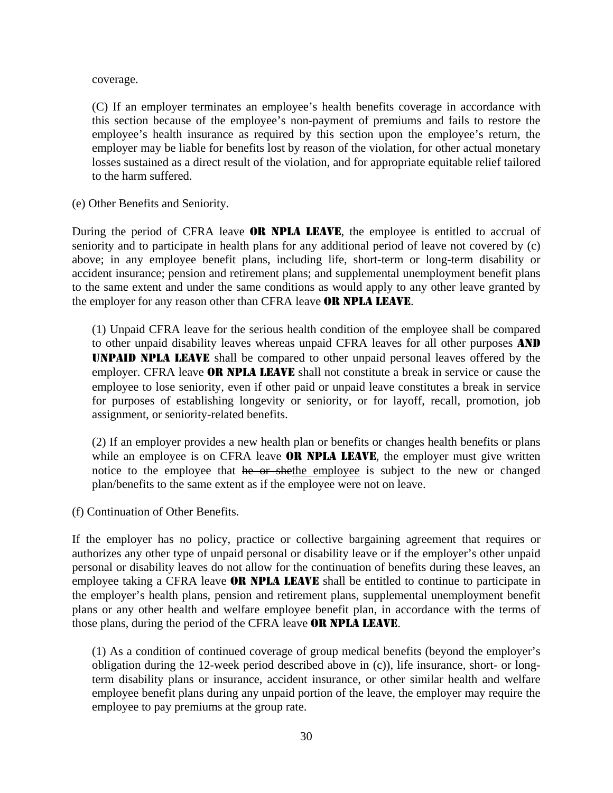coverage.

(C) If an employer terminates an employee's health benefits coverage in accordance with this section because of the employee's non-payment of premiums and fails to restore the employee's health insurance as required by this section upon the employee's return, the employer may be liable for benefits lost by reason of the violation, for other actual monetary losses sustained as a direct result of the violation, and for appropriate equitable relief tailored to the harm suffered.

(e) Other Benefits and Seniority.

During the period of CFRA leave **OR NPLA LEAVE**, the employee is entitled to accrual of seniority and to participate in health plans for any additional period of leave not covered by (c) above; in any employee benefit plans, including life, short-term or long-term disability or accident insurance; pension and retirement plans; and supplemental unemployment benefit plans to the same extent and under the same conditions as would apply to any other leave granted by the employer for any reason other than CFRA leave **OR NPLA LEAVE**.

(1) Unpaid CFRA leave for the serious health condition of the employee shall be compared to other unpaid disability leaves whereas unpaid CFRA leaves for all other purposes **AND** UNPAID NPLA LEAVE shall be compared to other unpaid personal leaves offered by the employer. CFRA leave **OR NPLA LEAVE** shall not constitute a break in service or cause the employee to lose seniority, even if other paid or unpaid leave constitutes a break in service for purposes of establishing longevity or seniority, or for layoff, recall, promotion, job assignment, or seniority-related benefits.

(2) If an employer provides a new health plan or benefits or changes health benefits or plans while an employee is on CFRA leave OR NPLA LEAVE, the employer must give written notice to the employee that he or shethe employee is subject to the new or changed plan/benefits to the same extent as if the employee were not on leave.

(f) Continuation of Other Benefits.

If the employer has no policy, practice or collective bargaining agreement that requires or authorizes any other type of unpaid personal or disability leave or if the employer's other unpaid personal or disability leaves do not allow for the continuation of benefits during these leaves, an employee taking a CFRA leave **OR NPLA LEAVE** shall be entitled to continue to participate in the employer's health plans, pension and retirement plans, supplemental unemployment benefit plans or any other health and welfare employee benefit plan, in accordance with the terms of those plans, during the period of the CFRA leave **OR NPLA LEAVE**.

(1) As a condition of continued coverage of group medical benefits (beyond the employer's obligation during the 12-week period described above in (c)), life insurance, short- or longterm disability plans or insurance, accident insurance, or other similar health and welfare employee benefit plans during any unpaid portion of the leave, the employer may require the employee to pay premiums at the group rate.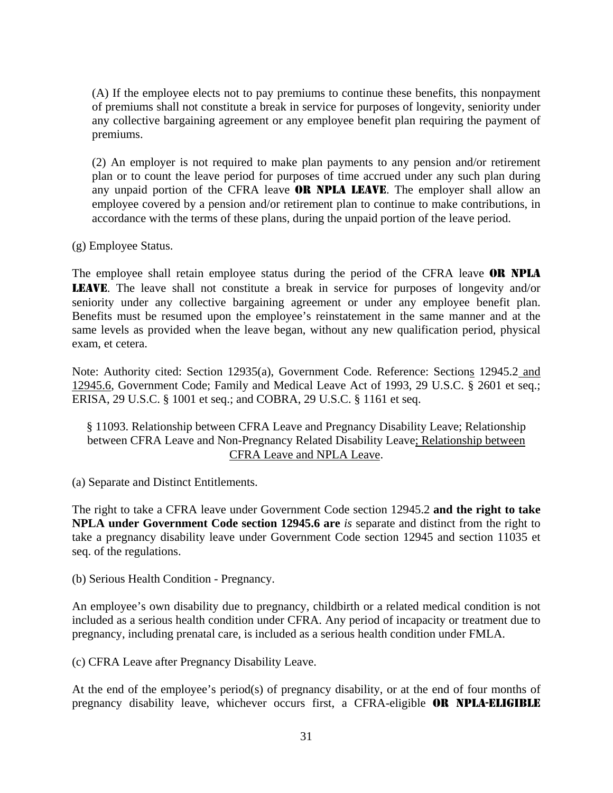(A) If the employee elects not to pay premiums to continue these benefits, this nonpayment of premiums shall not constitute a break in service for purposes of longevity, seniority under any collective bargaining agreement or any employee benefit plan requiring the payment of premiums.

(2) An employer is not required to make plan payments to any pension and/or retirement plan or to count the leave period for purposes of time accrued under any such plan during any unpaid portion of the CFRA leave **OR NPLA LEAVE**. The employer shall allow an employee covered by a pension and/or retirement plan to continue to make contributions, in accordance with the terms of these plans, during the unpaid portion of the leave period.

(g) Employee Status.

The employee shall retain employee status during the period of the CFRA leave **OR NPLA** LEAVE. The leave shall not constitute a break in service for purposes of longevity and/or seniority under any collective bargaining agreement or under any employee benefit plan. Benefits must be resumed upon the employee's reinstatement in the same manner and at the same levels as provided when the leave began, without any new qualification period, physical exam, et cetera.

Note: Authority cited: Section 12935(a), Government Code. Reference: Sections 12945.2 and 12945.6, Government Code; Family and Medical Leave Act of 1993, 29 U.S.C. § 2601 et seq.; ERISA, 29 U.S.C. § 1001 et seq.; and COBRA, 29 U.S.C. § 1161 et seq.

§ 11093. Relationship between CFRA Leave and Pregnancy Disability Leave; Relationship between CFRA Leave and Non-Pregnancy Related Disability Leave; Relationship between CFRA Leave and NPLA Leave.

(a) Separate and Distinct Entitlements.

The right to take a CFRA leave under Government Code section 12945.2 **and the right to take NPLA under Government Code section 12945.6 are** *is* separate and distinct from the right to take a pregnancy disability leave under Government Code section 12945 and section 11035 et seq. of the regulations.

(b) Serious Health Condition - Pregnancy.

An employee's own disability due to pregnancy, childbirth or a related medical condition is not included as a serious health condition under CFRA. Any period of incapacity or treatment due to pregnancy, including prenatal care, is included as a serious health condition under FMLA.

(c) CFRA Leave after Pregnancy Disability Leave.

At the end of the employee's period(s) of pregnancy disability, or at the end of four months of pregnancy disability leave, whichever occurs first, a CFRA-eligible OR NPLA-ELIGIBLE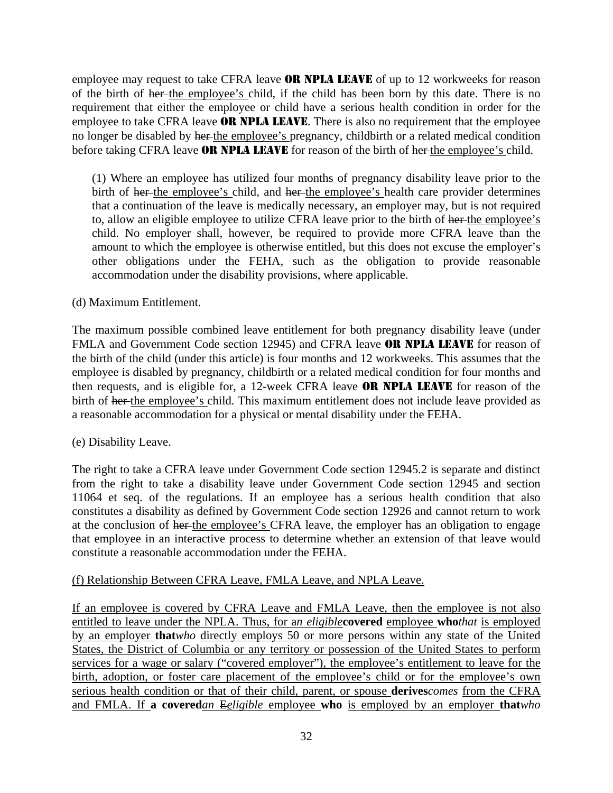employee may request to take CFRA leave **OR NPLA LEAVE** of up to 12 workweeks for reason of the birth of her the employee's child, if the child has been born by this date. There is no requirement that either the employee or child have a serious health condition in order for the employee to take CFRA leave **OR NPLA LEAVE**. There is also no requirement that the employee no longer be disabled by her the employee's pregnancy, childbirth or a related medical condition before taking CFRA leave **OR NPLA LEAVE** for reason of the birth of her the employee's child.

(1) Where an employee has utilized four months of pregnancy disability leave prior to the birth of her the employee's child, and her the employee's health care provider determines that a continuation of the leave is medically necessary, an employer may, but is not required to, allow an eligible employee to utilize CFRA leave prior to the birth of her-the employee's child. No employer shall, however, be required to provide more CFRA leave than the amount to which the employee is otherwise entitled, but this does not excuse the employer's other obligations under the FEHA, such as the obligation to provide reasonable accommodation under the disability provisions, where applicable.

# (d) Maximum Entitlement.

The maximum possible combined leave entitlement for both pregnancy disability leave (under FMLA and Government Code section 12945) and CFRA leave **OR NPLA LEAVE** for reason of the birth of the child (under this article) is four months and 12 workweeks. This assumes that the employee is disabled by pregnancy, childbirth or a related medical condition for four months and then requests, and is eligible for, a 12-week CFRA leave OR NPLA LEAVE for reason of the birth of her the employee's child. This maximum entitlement does not include leave provided as a reasonable accommodation for a physical or mental disability under the FEHA.

# (e) Disability Leave.

The right to take a CFRA leave under Government Code section 12945.2 is separate and distinct from the right to take a disability leave under Government Code section 12945 and section 11064 et seq. of the regulations. If an employee has a serious health condition that also constitutes a disability as defined by Government Code section 12926 and cannot return to work at the conclusion of her the employee's CFRA leave, the employer has an obligation to engage that employee in an interactive process to determine whether an extension of that leave would constitute a reasonable accommodation under the FEHA.

# (f) Relationship Between CFRA Leave, FMLA Leave, and NPLA Leave.

If an employee is covered by CFRA Leave and FMLA Leave, then the employee is not also entitled to leave under the NPLA. Thus, for a*n eligible***covered** employee **who***that* is employed by an employer **that***who* directly employs 50 or more persons within any state of the United States, the District of Columbia or any territory or possession of the United States to perform services for a wage or salary ("covered employer"), the employee's entitlement to leave for the birth, adoption, or foster care placement of the employee's child or for the employee's own serious health condition or that of their child, parent, or spouse **derives***comes* from the CFRA and FMLA. If **a covered***an* E*eligible* employee **who** is employed by an employer **that***who*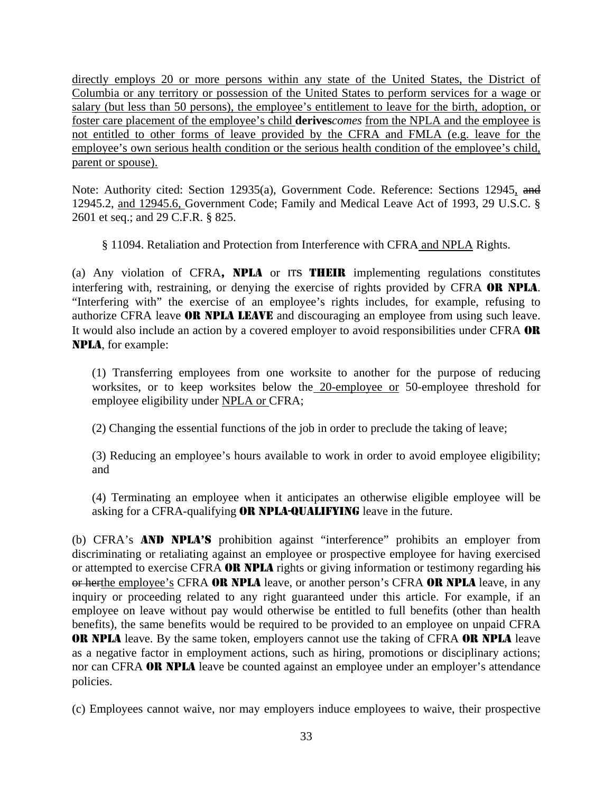directly employs 20 or more persons within any state of the United States, the District of Columbia or any territory or possession of the United States to perform services for a wage or salary (but less than 50 persons), the employee's entitlement to leave for the birth, adoption, or foster care placement of the employee's child **derives***comes* from the NPLA and the employee is not entitled to other forms of leave provided by the CFRA and FMLA (e.g. leave for the employee's own serious health condition or the serious health condition of the employee's child, parent or spouse).

Note: Authority cited: Section 12935(a), Government Code. Reference: Sections 12945, and 12945.2, and 12945.6, Government Code; Family and Medical Leave Act of 1993, 29 U.S.C. § 2601 et seq.; and 29 C.F.R. § 825.

§ 11094. Retaliation and Protection from Interference with CFRA and NPLA Rights.

(a) Any violation of CFRA, NPLA or ITS THEIR implementing regulations constitutes interfering with, restraining, or denying the exercise of rights provided by CFRA OR NPLA. "Interfering with" the exercise of an employee's rights includes, for example, refusing to authorize CFRA leave OR NPLA LEAVE and discouraging an employee from using such leave. It would also include an action by a covered employer to avoid responsibilities under CFRA OR NPLA, for example:

(1) Transferring employees from one worksite to another for the purpose of reducing worksites, or to keep worksites below the 20-employee or 50-employee threshold for employee eligibility under NPLA or CFRA;

(2) Changing the essential functions of the job in order to preclude the taking of leave;

(3) Reducing an employee's hours available to work in order to avoid employee eligibility; and

(4) Terminating an employee when it anticipates an otherwise eligible employee will be asking for a CFRA-qualifying **OR NPLA-QUALIFYING** leave in the future.

(b) CFRA's AND NPLA'S prohibition against "interference" prohibits an employer from discriminating or retaliating against an employee or prospective employee for having exercised or attempted to exercise CFRA **OR NPLA** rights or giving information or testimony regarding his or herthe employee's CFRA OR NPLA leave, or another person's CFRA OR NPLA leave, in any inquiry or proceeding related to any right guaranteed under this article. For example, if an employee on leave without pay would otherwise be entitled to full benefits (other than health benefits), the same benefits would be required to be provided to an employee on unpaid CFRA OR NPLA leave. By the same token, employers cannot use the taking of CFRA OR NPLA leave as a negative factor in employment actions, such as hiring, promotions or disciplinary actions; nor can CFRA **OR NPLA** leave be counted against an employee under an employer's attendance policies.

(c) Employees cannot waive, nor may employers induce employees to waive, their prospective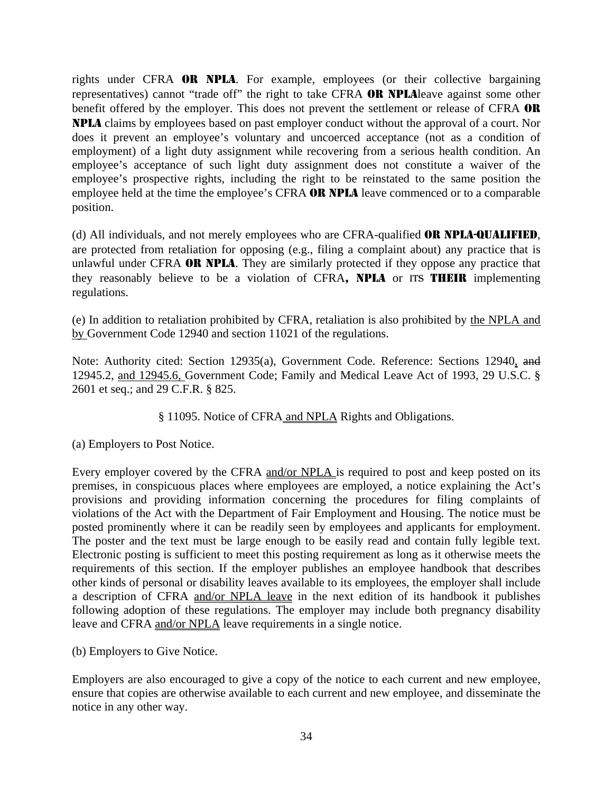rights under CFRA OR NPLA. For example, employees (or their collective bargaining representatives) cannot "trade off" the right to take CFRA OR NPLAleave against some other benefit offered by the employer. This does not prevent the settlement or release of CFRA OR NPLA claims by employees based on past employer conduct without the approval of a court. Nor does it prevent an employee's voluntary and uncoerced acceptance (not as a condition of employment) of a light duty assignment while recovering from a serious health condition. An employee's acceptance of such light duty assignment does not constitute a waiver of the employee's prospective rights, including the right to be reinstated to the same position the employee held at the time the employee's CFRA **OR NPLA** leave commenced or to a comparable position.

(d) All individuals, and not merely employees who are CFRA-qualified OR NPLA-QUALIFIED, are protected from retaliation for opposing (e.g., filing a complaint about) any practice that is unlawful under CFRA OR NPLA. They are similarly protected if they oppose any practice that they reasonably believe to be a violation of CFRA, NPLA or ITS THEIR implementing regulations.

(e) In addition to retaliation prohibited by CFRA, retaliation is also prohibited by the NPLA and by Government Code 12940 and section 11021 of the regulations.

Note: Authority cited: Section 12935(a), Government Code. Reference: Sections 12940, and 12945.2, and 12945.6, Government Code; Family and Medical Leave Act of 1993, 29 U.S.C. § 2601 et seq.; and 29 C.F.R. § 825.

§ 11095. Notice of CFRA and NPLA Rights and Obligations.

(a) Employers to Post Notice.

Every employer covered by the CFRA and/or NPLA is required to post and keep posted on its premises, in conspicuous places where employees are employed, a notice explaining the Act's provisions and providing information concerning the procedures for filing complaints of violations of the Act with the Department of Fair Employment and Housing. The notice must be posted prominently where it can be readily seen by employees and applicants for employment. The poster and the text must be large enough to be easily read and contain fully legible text. Electronic posting is sufficient to meet this posting requirement as long as it otherwise meets the requirements of this section. If the employer publishes an employee handbook that describes other kinds of personal or disability leaves available to its employees, the employer shall include a description of CFRA and/or NPLA leave in the next edition of its handbook it publishes following adoption of these regulations. The employer may include both pregnancy disability leave and CFRA and/or NPLA leave requirements in a single notice.

(b) Employers to Give Notice.

Employers are also encouraged to give a copy of the notice to each current and new employee, ensure that copies are otherwise available to each current and new employee, and disseminate the notice in any other way.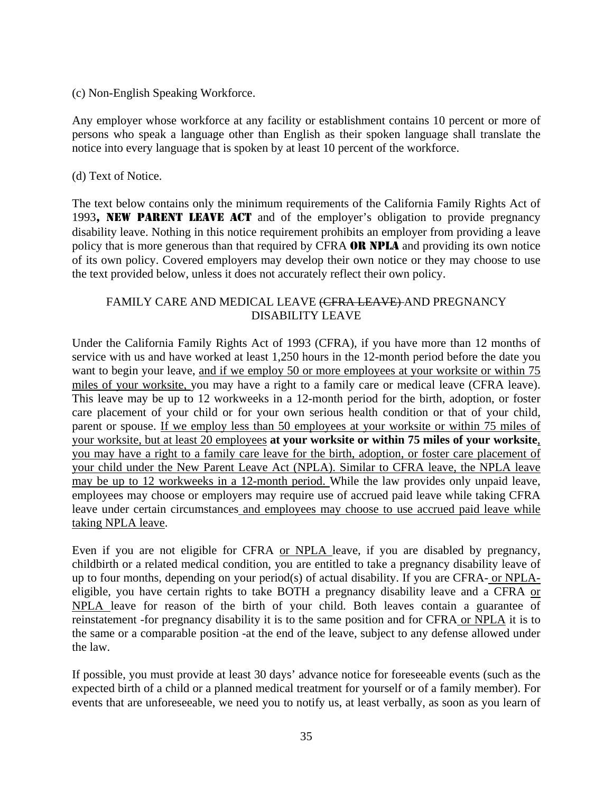# (c) Non-English Speaking Workforce.

Any employer whose workforce at any facility or establishment contains 10 percent or more of persons who speak a language other than English as their spoken language shall translate the notice into every language that is spoken by at least 10 percent of the workforce.

# (d) Text of Notice.

The text below contains only the minimum requirements of the California Family Rights Act of 1993, NEW PARENT LEAVE ACT and of the employer's obligation to provide pregnancy disability leave. Nothing in this notice requirement prohibits an employer from providing a leave policy that is more generous than that required by CFRA OR NPLA and providing its own notice of its own policy. Covered employers may develop their own notice or they may choose to use the text provided below, unless it does not accurately reflect their own policy.

# FAMILY CARE AND MEDICAL LEAVE (CFRA LEAVE) AND PREGNANCY DISABILITY LEAVE

Under the California Family Rights Act of 1993 (CFRA), if you have more than 12 months of service with us and have worked at least 1,250 hours in the 12-month period before the date you want to begin your leave, and if we employ 50 or more employees at your worksite or within 75 miles of your worksite, you may have a right to a family care or medical leave (CFRA leave). This leave may be up to 12 workweeks in a 12-month period for the birth, adoption, or foster care placement of your child or for your own serious health condition or that of your child, parent or spouse. If we employ less than 50 employees at your worksite or within 75 miles of your worksite, but at least 20 employees **at your worksite or within 75 miles of your worksite**, you may have a right to a family care leave for the birth, adoption, or foster care placement of your child under the New Parent Leave Act (NPLA). Similar to CFRA leave, the NPLA leave may be up to 12 workweeks in a 12-month period. While the law provides only unpaid leave, employees may choose or employers may require use of accrued paid leave while taking CFRA leave under certain circumstances and employees may choose to use accrued paid leave while taking NPLA leave.

Even if you are not eligible for CFRA or NPLA leave, if you are disabled by pregnancy, childbirth or a related medical condition, you are entitled to take a pregnancy disability leave of up to four months, depending on your period(s) of actual disability. If you are CFRA- or NPLAeligible, you have certain rights to take BOTH a pregnancy disability leave and a CFRA or NPLA leave for reason of the birth of your child. Both leaves contain a guarantee of reinstatement -for pregnancy disability it is to the same position and for CFRA or NPLA it is to the same or a comparable position -at the end of the leave, subject to any defense allowed under the law.

If possible, you must provide at least 30 days' advance notice for foreseeable events (such as the expected birth of a child or a planned medical treatment for yourself or of a family member). For events that are unforeseeable, we need you to notify us, at least verbally, as soon as you learn of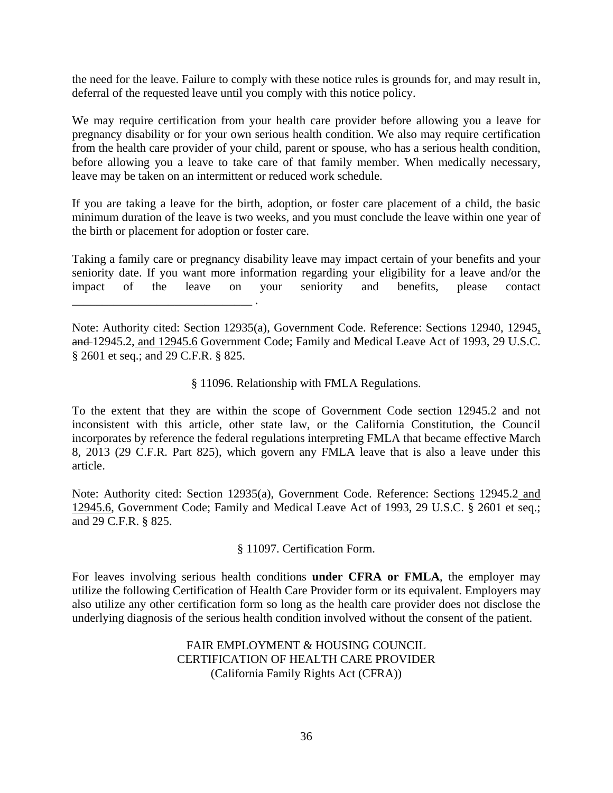the need for the leave. Failure to comply with these notice rules is grounds for, and may result in, deferral of the requested leave until you comply with this notice policy.

We may require certification from your health care provider before allowing you a leave for pregnancy disability or for your own serious health condition. We also may require certification from the health care provider of your child, parent or spouse, who has a serious health condition, before allowing you a leave to take care of that family member. When medically necessary, leave may be taken on an intermittent or reduced work schedule.

If you are taking a leave for the birth, adoption, or foster care placement of a child, the basic minimum duration of the leave is two weeks, and you must conclude the leave within one year of the birth or placement for adoption or foster care.

Taking a family care or pregnancy disability leave may impact certain of your benefits and your seniority date. If you want more information regarding your eligibility for a leave and/or the impact of the leave on your seniority and benefits, please contact \_\_\_\_\_\_\_\_\_\_\_\_\_\_\_\_\_\_\_\_\_\_\_\_\_\_\_\_\_\_ .

Note: Authority cited: Section 12935(a), Government Code. Reference: Sections 12940, 12945, and 12945.2, and 12945.6 Government Code; Family and Medical Leave Act of 1993, 29 U.S.C. § 2601 et seq.; and 29 C.F.R. § 825.

§ 11096. Relationship with FMLA Regulations.

To the extent that they are within the scope of Government Code section 12945.2 and not inconsistent with this article, other state law, or the California Constitution, the Council incorporates by reference the federal regulations interpreting FMLA that became effective March 8, 2013 (29 C.F.R. Part 825), which govern any FMLA leave that is also a leave under this article.

Note: Authority cited: Section 12935(a), Government Code. Reference: Sections 12945.2 and 12945.6, Government Code; Family and Medical Leave Act of 1993, 29 U.S.C. § 2601 et seq.; and 29 C.F.R. § 825.

§ 11097. Certification Form.

For leaves involving serious health conditions **under CFRA or FMLA**, the employer may utilize the following Certification of Health Care Provider form or its equivalent. Employers may also utilize any other certification form so long as the health care provider does not disclose the underlying diagnosis of the serious health condition involved without the consent of the patient.

> FAIR EMPLOYMENT & HOUSING COUNCIL CERTIFICATION OF HEALTH CARE PROVIDER (California Family Rights Act (CFRA))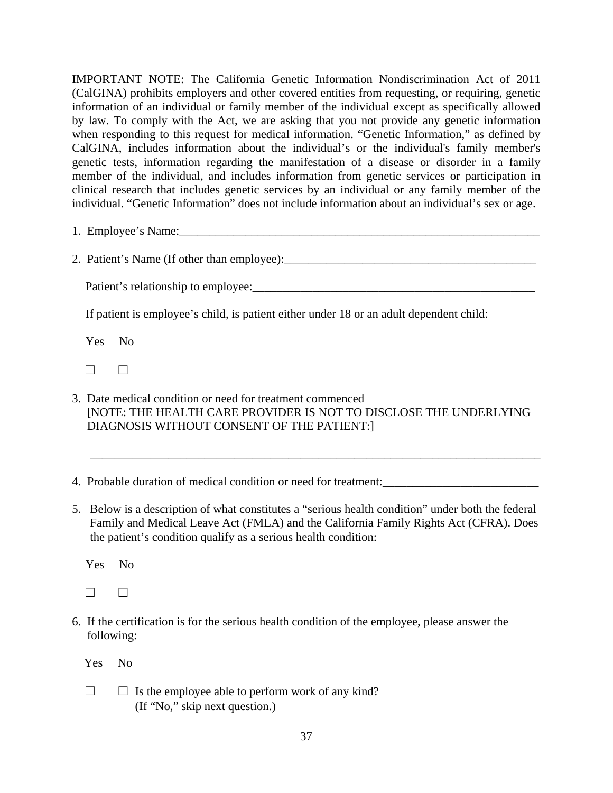IMPORTANT NOTE: The California Genetic Information Nondiscrimination Act of 2011 (CalGINA) prohibits employers and other covered entities from requesting, or requiring, genetic information of an individual or family member of the individual except as specifically allowed by law. To comply with the Act, we are asking that you not provide any genetic information when responding to this request for medical information. "Genetic Information," as defined by CalGINA, includes information about the individual's or the individual's family member's genetic tests, information regarding the manifestation of a disease or disorder in a family member of the individual, and includes information from genetic services or participation in clinical research that includes genetic services by an individual or any family member of the individual. "Genetic Information" does not include information about an individual's sex or age.

- 1. Employee's Name:\_\_\_\_\_\_\_\_\_\_\_\_\_\_\_\_\_\_\_\_\_\_\_\_\_\_\_\_\_\_\_\_\_\_\_\_\_\_\_\_\_\_\_\_\_\_\_\_\_\_\_\_\_\_\_\_\_\_\_\_
- 2. Patient's Name (If other than employee):\_\_\_\_\_\_\_\_\_\_\_\_\_\_\_\_\_\_\_\_\_\_\_\_\_\_\_\_\_\_\_\_\_\_\_\_\_\_\_\_\_\_

Patient's relationship to employee:

If patient is employee's child, is patient either under 18 or an adult dependent child:

Yes No

- $\Box$
- 3. Date medical condition or need for treatment commenced [NOTE: THE HEALTH CARE PROVIDER IS NOT TO DISCLOSE THE UNDERLYING DIAGNOSIS WITHOUT CONSENT OF THE PATIENT:]

\_\_\_\_\_\_\_\_\_\_\_\_\_\_\_\_\_\_\_\_\_\_\_\_\_\_\_\_\_\_\_\_\_\_\_\_\_\_\_\_\_\_\_\_\_\_\_\_\_\_\_\_\_\_\_\_\_\_\_\_\_\_\_\_\_\_\_\_\_\_\_\_\_\_\_

- 4. Probable duration of medical condition or need for treatment:\_\_\_\_\_\_\_\_\_\_\_\_\_\_\_\_\_\_\_\_\_\_\_\_\_\_
- 5. Below is a description of what constitutes a "serious health condition" under both the federal Family and Medical Leave Act (FMLA) and the California Family Rights Act (CFRA). Does the patient's condition qualify as a serious health condition:

Yes No

 $\Box$ 

6. If the certification is for the serious health condition of the employee, please answer the following:

Yes No

 $\Box$   $\Box$  Is the employee able to perform work of any kind? (If "No," skip next question.)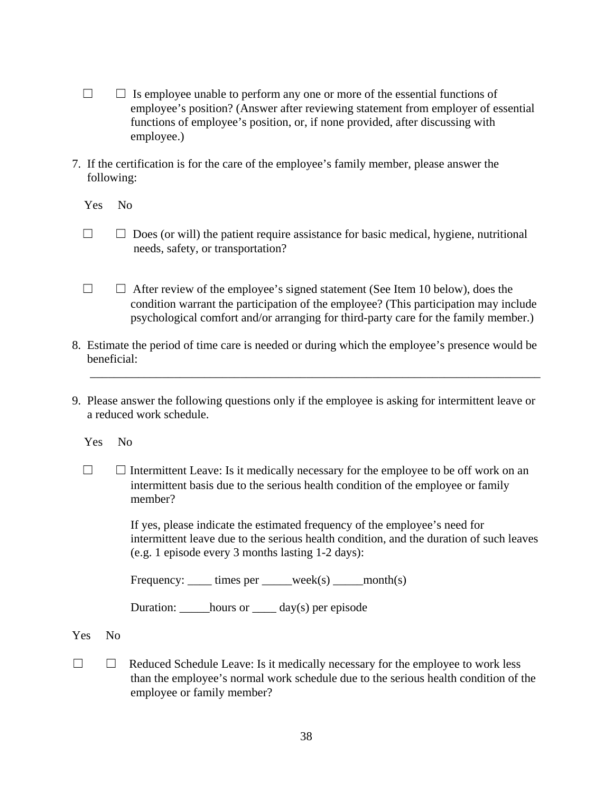- $\Box$   $\Box$  Is employee unable to perform any one or more of the essential functions of employee's position? (Answer after reviewing statement from employer of essential functions of employee's position, or, if none provided, after discussing with employee.)
- 7. If the certification is for the care of the employee's family member, please answer the following:

Yes No

- $\Box$   $\Box$  Does (or will) the patient require assistance for basic medical, hygiene, nutritional needs, safety, or transportation?
- ☐ ☐ After review of the employee's signed statement (See Item 10 below), does the condition warrant the participation of the employee? (This participation may include psychological comfort and/or arranging for third-party care for the family member.)
- 8. Estimate the period of time care is needed or during which the employee's presence would be beneficial:

\_\_\_\_\_\_\_\_\_\_\_\_\_\_\_\_\_\_\_\_\_\_\_\_\_\_\_\_\_\_\_\_\_\_\_\_\_\_\_\_\_\_\_\_\_\_\_\_\_\_\_\_\_\_\_\_\_\_\_\_\_\_\_\_\_\_\_\_\_\_\_\_\_\_\_

9. Please answer the following questions only if the employee is asking for intermittent leave or a reduced work schedule.

Yes No

☐ ☐ Intermittent Leave: Is it medically necessary for the employee to be off work on an intermittent basis due to the serious health condition of the employee or family member?

> If yes, please indicate the estimated frequency of the employee's need for intermittent leave due to the serious health condition, and the duration of such leaves (e.g. 1 episode every 3 months lasting 1-2 days):

Frequency:  $\frac{1}{\text{times per}}$  times per  $\frac{1}{\text{times}}$  week(s)  $\frac{1}{\text{cos}(s)}$ 

Duration: \_\_\_\_\_hours or \_\_\_\_ day(s) per episode

Yes No

 $\Box$   $\Box$  Reduced Schedule Leave: Is it medically necessary for the employee to work less than the employee's normal work schedule due to the serious health condition of the employee or family member?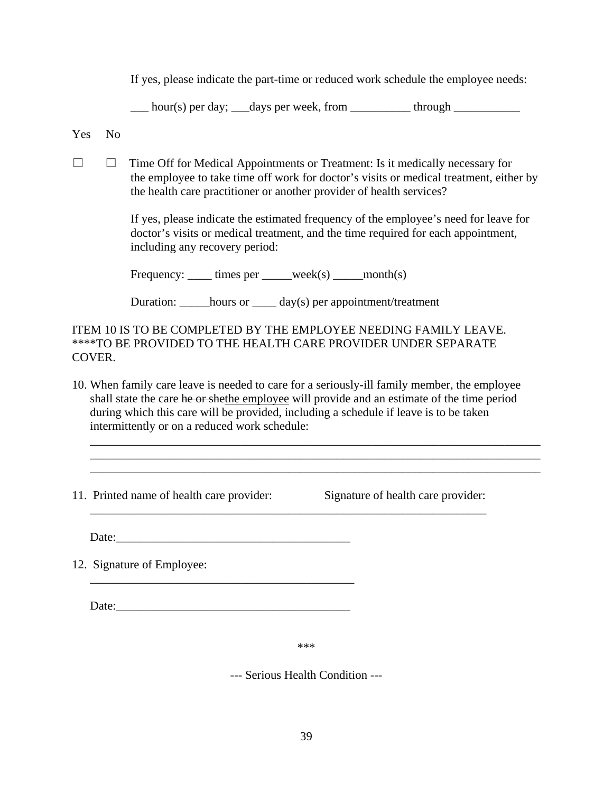If yes, please indicate the part-time or reduced work schedule the employee needs:

 $\frac{1}{2}$  hour(s) per day;  $\frac{1}{2}$  days per week, from  $\frac{1}{2}$  through

Yes No

☐ ☐ Time Off for Medical Appointments or Treatment: Is it medically necessary for the employee to take time off work for doctor's visits or medical treatment, either by the health care practitioner or another provider of health services?

> If yes, please indicate the estimated frequency of the employee's need for leave for doctor's visits or medical treatment, and the time required for each appointment, including any recovery period:

Frequency: \_\_\_\_\_ times per \_\_\_\_\_week(s) \_\_\_\_\_month(s)

Duration: hours or day(s) per appointment/treatment

ITEM 10 IS TO BE COMPLETED BY THE EMPLOYEE NEEDING FAMILY LEAVE. \*\*\*\*TO BE PROVIDED TO THE HEALTH CARE PROVIDER UNDER SEPARATE COVER.

10. When family care leave is needed to care for a seriously-ill family member, the employee shall state the care he or shethe employee will provide and an estimate of the time period during which this care will be provided, including a schedule if leave is to be taken intermittently or on a reduced work schedule:

\_\_\_\_\_\_\_\_\_\_\_\_\_\_\_\_\_\_\_\_\_\_\_\_\_\_\_\_\_\_\_\_\_\_\_\_\_\_\_\_\_\_\_\_\_\_\_\_\_\_\_\_\_\_\_\_\_\_\_\_\_\_\_\_\_\_

\_\_\_\_\_\_\_\_\_\_\_\_\_\_\_\_\_\_\_\_\_\_\_\_\_\_\_\_\_\_\_\_\_\_\_\_\_\_\_\_\_\_\_\_\_\_\_\_\_\_\_\_\_\_\_\_\_\_\_\_\_\_\_\_\_\_\_\_\_\_\_\_\_\_\_ \_\_\_\_\_\_\_\_\_\_\_\_\_\_\_\_\_\_\_\_\_\_\_\_\_\_\_\_\_\_\_\_\_\_\_\_\_\_\_\_\_\_\_\_\_\_\_\_\_\_\_\_\_\_\_\_\_\_\_\_\_\_\_\_\_\_\_\_\_\_\_\_\_\_\_ \_\_\_\_\_\_\_\_\_\_\_\_\_\_\_\_\_\_\_\_\_\_\_\_\_\_\_\_\_\_\_\_\_\_\_\_\_\_\_\_\_\_\_\_\_\_\_\_\_\_\_\_\_\_\_\_\_\_\_\_\_\_\_\_\_\_\_\_\_\_\_\_\_\_\_

11. Printed name of health care provider: Signature of health care provider:

Date:

12. Signature of Employee:

Date:\_\_\_\_\_\_\_\_\_\_\_\_\_\_\_\_\_\_\_\_\_\_\_\_\_\_\_\_\_\_\_\_\_\_\_\_\_\_\_

\_\_\_\_\_\_\_\_\_\_\_\_\_\_\_\_\_\_\_\_\_\_\_\_\_\_\_\_\_\_\_\_\_\_\_\_\_\_\_\_\_\_\_\_

\*\*\*

--- Serious Health Condition ---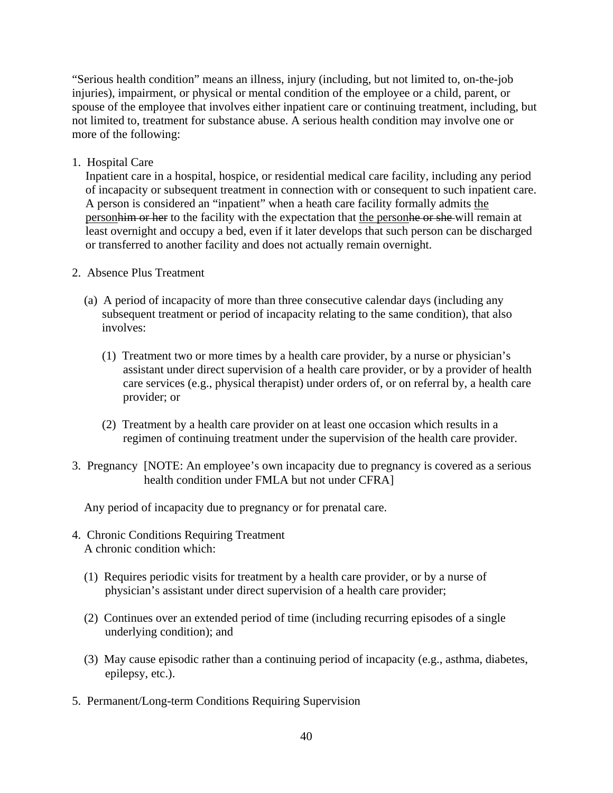"Serious health condition" means an illness, injury (including, but not limited to, on-the-job injuries), impairment, or physical or mental condition of the employee or a child, parent, or spouse of the employee that involves either inpatient care or continuing treatment, including, but not limited to, treatment for substance abuse. A serious health condition may involve one or more of the following:

1. Hospital Care

Inpatient care in a hospital, hospice, or residential medical care facility, including any period of incapacity or subsequent treatment in connection with or consequent to such inpatient care. A person is considered an "inpatient" when a heath care facility formally admits the person him or her to the facility with the expectation that the person he or she will remain at least overnight and occupy a bed, even if it later develops that such person can be discharged or transferred to another facility and does not actually remain overnight.

- 2. Absence Plus Treatment
	- (a) A period of incapacity of more than three consecutive calendar days (including any subsequent treatment or period of incapacity relating to the same condition), that also involves:
		- (1) Treatment two or more times by a health care provider, by a nurse or physician's assistant under direct supervision of a health care provider, or by a provider of health care services (e.g., physical therapist) under orders of, or on referral by, a health care provider; or
		- (2) Treatment by a health care provider on at least one occasion which results in a regimen of continuing treatment under the supervision of the health care provider.
- 3. Pregnancy [NOTE: An employee's own incapacity due to pregnancy is covered as a serious health condition under FMLA but not under CFRA]

Any period of incapacity due to pregnancy or for prenatal care.

- 4. Chronic Conditions Requiring Treatment A chronic condition which:
	- (1) Requires periodic visits for treatment by a health care provider, or by a nurse of physician's assistant under direct supervision of a health care provider;
	- (2) Continues over an extended period of time (including recurring episodes of a single underlying condition); and
	- (3) May cause episodic rather than a continuing period of incapacity (e.g., asthma, diabetes, epilepsy, etc.).
- 5. Permanent/Long-term Conditions Requiring Supervision